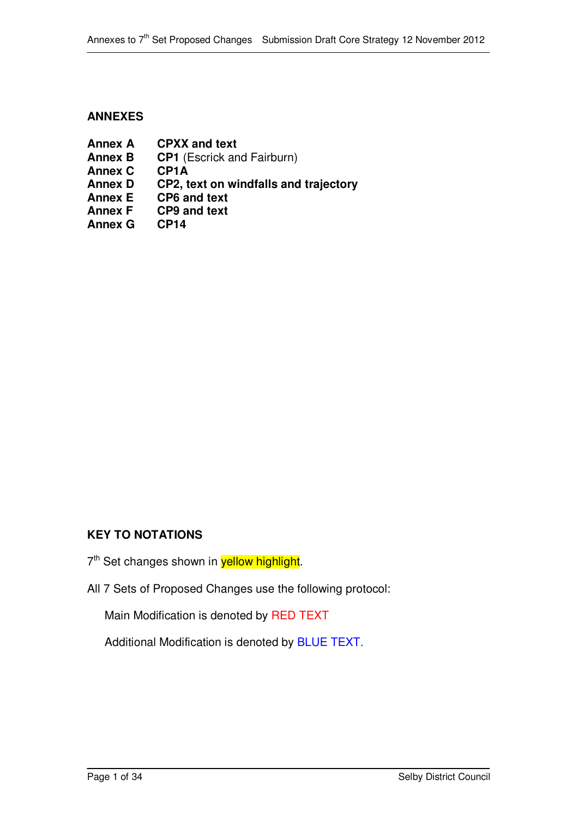### **ANNEXES**

**Annex A CPXX and text Annex B CP1** (Escrick and Fairburn) **Annex C CP1A Annex D CP2, text on windfalls and trajectory Annex E CP6 and text Annex F CP9 and text Annex G CP14**

## **KEY TO NOTATIONS**

- 7<sup>th</sup> Set changes shown in **yellow highlight**.
- All 7 Sets of Proposed Changes use the following protocol:

Main Modification is denoted by RED TEXT

Additional Modification is denoted by BLUE TEXT.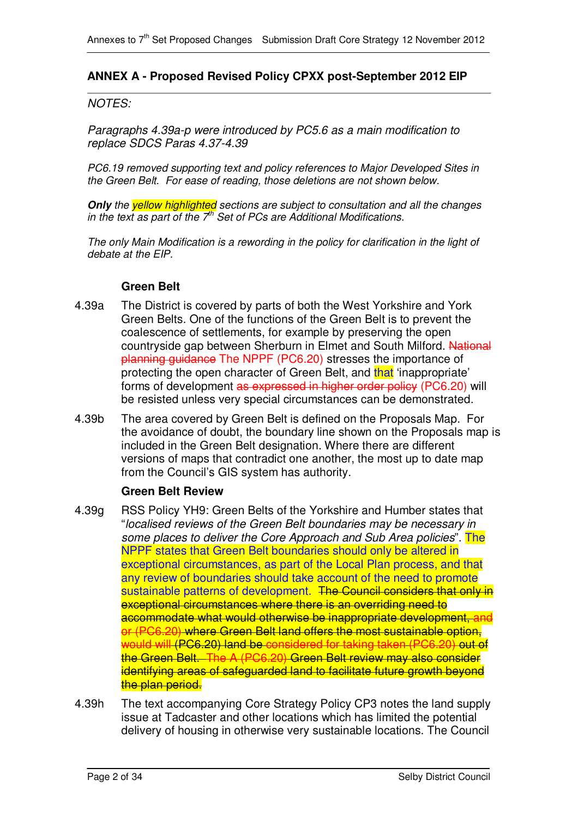### **ANNEX A - Proposed Revised Policy CPXX post-September 2012 EIP**

#### *NOTES:*

*Paragraphs 4.39a-p were introduced by PC5.6 as a main modification to replace SDCS Paras 4.37-4.39*

*PC6.19 removed supporting text and policy references to Major Developed Sites in the Green Belt. For ease of reading, those deletions are not shown below.*

*Only the yellow highlighted sections are subject to consultation and all the changes in the text as part of the 7 th Set of PCs are Additional Modifications.*

*The only Main Modification is a rewording in the policy for clarification in the light of debate at the EIP.*

#### **Green Belt**

- 4.39a The District is covered by parts of both the West Yorkshire and York Green Belts. One of the functions of the Green Belt is to prevent the coalescence of settlements, for example by preserving the open countryside gap between Sherburn in Elmet and South Milford. National planning guidance The NPPF (PC6.20) stresses the importance of protecting the open character of Green Belt, and that 'inappropriate' forms of development as expressed in higher order policy (PC6.20) will be resisted unless very special circumstances can be demonstrated.
- 4.39b The area covered by Green Belt is defined on the Proposals Map. For the avoidance of doubt, the boundary line shown on the Proposals map is included in the Green Belt designation. Where there are different versions of maps that contradict one another, the most up to date map from the Council's GIS system has authority.

### **Green Belt Review**

- 4.39g RSS Policy YH9: Green Belts of the Yorkshire and Humber states that "*localised reviews of the Green Belt boundaries may be necessary in some places to deliver the Core Approach and Sub Area policies*". The NPPF states that Green Belt boundaries should only be altered in exceptional circumstances, as part of the Local Plan process, and that any review of boundaries should take account of the need to promote sustainable patterns of development. The Council considers that only in exceptional circumstances where there is an overriding need to accommodate what would otherwise be inappropriate development, and or (PC6.20) where Green Belt land offers the most sustainable option, would will (PC6.20) land be considered for taking taken (PC6.20) out of the Green Belt. The A (PC6.20) Green Belt review may also consider identifying areas of safeguarded land to facilitate future growth beyond the plan period.
- 4.39h The text accompanying Core Strategy Policy CP3 notes the land supply issue at Tadcaster and other locations which has limited the potential delivery of housing in otherwise very sustainable locations. The Council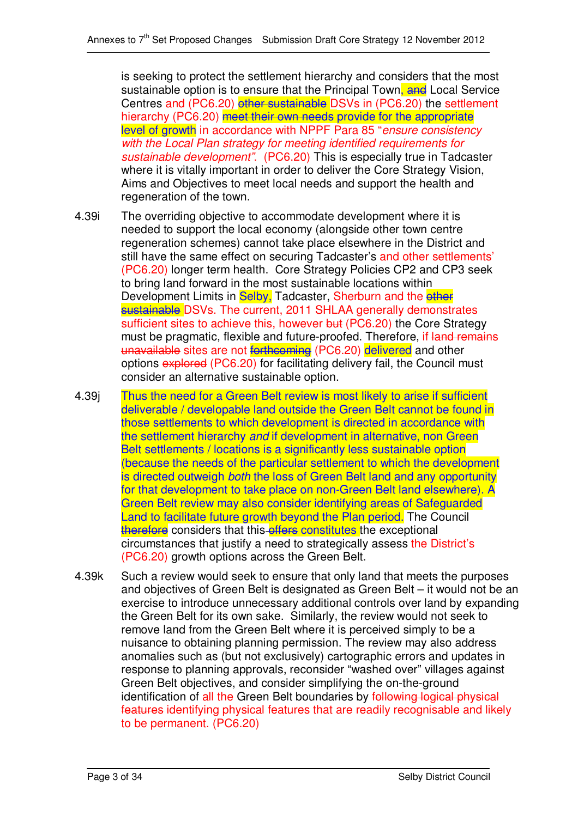is seeking to protect the settlement hierarchy and considers that the most sustainable option is to ensure that the Principal Town, and Local Service Centres and (PC6.20) other sustainable DSVs in (PC6.20) the settlement hierarchy (PC6.20) meet their own needs provide for the appropriate level of growth in accordance with NPPF Para 85 "*ensure consistency with the Local Plan strategy for meeting identified requirements for sustainable development"*. (PC6.20) This is especially true in Tadcaster where it is vitally important in order to deliver the Core Strategy Vision, Aims and Objectives to meet local needs and support the health and regeneration of the town.

- 4.39i The overriding objective to accommodate development where it is needed to support the local economy (alongside other town centre regeneration schemes) cannot take place elsewhere in the District and still have the same effect on securing Tadcaster's and other settlements' (PC6.20) longer term health. Core Strategy Policies CP2 and CP3 seek to bring land forward in the most sustainable locations within Development Limits in Selby, Tadcaster, Sherburn and the other sustainable DSVs. The current, 2011 SHLAA generally demonstrates sufficient sites to achieve this, however but (PC6.20) the Core Strategy must be pragmatic, flexible and future-proofed. Therefore, if land remains unavailable sites are not forthcoming (PC6.20) delivered and other options explored (PC6.20) for facilitating delivery fail, the Council must consider an alternative sustainable option.
- 4.39j Thus the need for a Green Belt review is most likely to arise if sufficient deliverable / developable land outside the Green Belt cannot be found in those settlements to which development is directed in accordance with the settlement hierarchy *and* if development in alternative, non Green Belt settlements / locations is a significantly less sustainable option (because the needs of the particular settlement to which the development is directed outweigh *both* the loss of Green Belt land and any opportunity for that development to take place on non-Green Belt land elsewhere). A Green Belt review may also consider identifying areas of Safeguarded Land to facilitate future growth beyond the Plan period. The Council therefore considers that this offers constitutes the exceptional circumstances that justify a need to strategically assess the District's (PC6.20) growth options across the Green Belt.
- 4.39k Such a review would seek to ensure that only land that meets the purposes and objectives of Green Belt is designated as Green Belt – it would not be an exercise to introduce unnecessary additional controls over land by expanding the Green Belt for its own sake. Similarly, the review would not seek to remove land from the Green Belt where it is perceived simply to be a nuisance to obtaining planning permission. The review may also address anomalies such as (but not exclusively) cartographic errors and updates in response to planning approvals, reconsider "washed over" villages against Green Belt objectives, and consider simplifying the on-the-ground identification of all the Green Belt boundaries by following logical physical features identifying physical features that are readily recognisable and likely to be permanent. (PC6.20)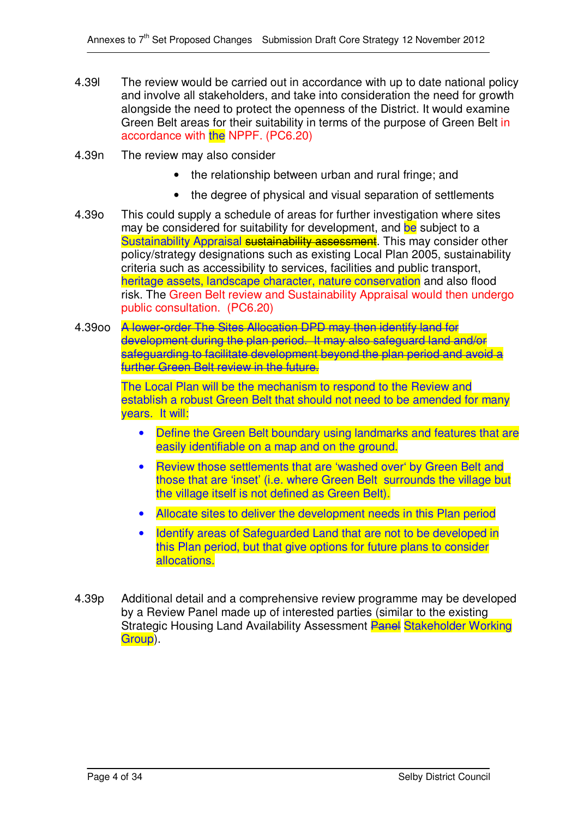- 4.39l The review would be carried out in accordance with up to date national policy and involve all stakeholders, and take into consideration the need for growth alongside the need to protect the openness of the District. It would examine Green Belt areas for their suitability in terms of the purpose of Green Belt in accordance with the NPPF. (PC6.20)
- 4.39n The review may also consider
	- the relationship between urban and rural fringe; and
	- the degree of physical and visual separation of settlements
- 4.39o This could supply a schedule of areas for further investigation where sites may be considered for suitability for development, and be subject to a Sustainability Appraisal sustainability assessment. This may consider other policy/strategy designations such as existing Local Plan 2005, sustainability criteria such as accessibility to services, facilities and public transport, heritage assets, landscape character, nature conservation and also flood risk. The Green Belt review and Sustainability Appraisal would then undergo public consultation. (PC6.20)
- 4.39oo A lower-order The Sites Allocation DPD may then identify land for development during the plan period. It may also safeguard land and/or safeguarding to facilitate development beyond the plan period and avoid a further Green Belt review in the future.

The Local Plan will be the mechanism to respond to the Review and establish a robust Green Belt that should not need to be amended for many years. It will:

- Define the Green Belt boundary using landmarks and features that are easily identifiable on a map and on the ground.
- Review those settlements that are 'washed over' by Green Belt and those that are 'inset' (i.e. where Green Belt surrounds the village but the village itself is not defined as Green Belt).
- Allocate sites to deliver the development needs in this Plan period
- Identify areas of Safeguarded Land that are not to be developed in this Plan period, but that give options for future plans to consider allocations.
- 4.39p Additional detail and a comprehensive review programme may be developed by a Review Panel made up of interested parties (similar to the existing Strategic Housing Land Availability Assessment **Panel Stakeholder Working** Group).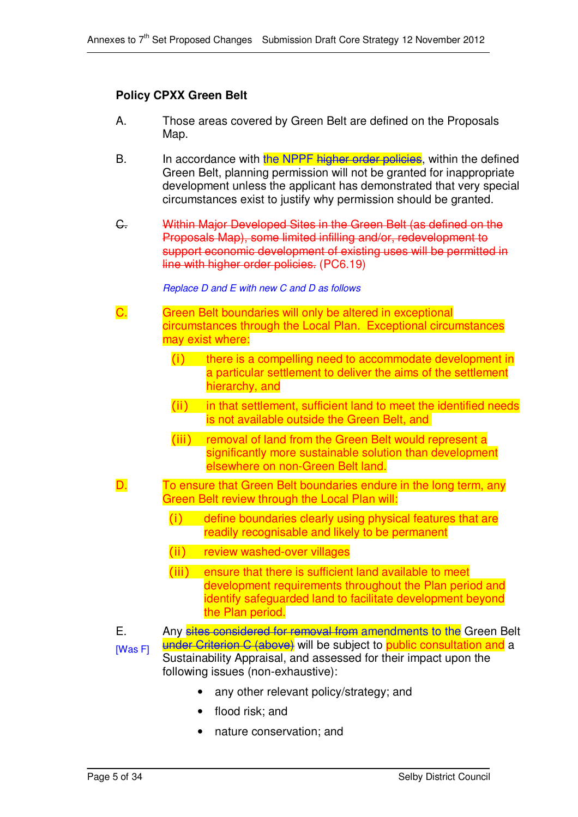### **Policy CPXX Green Belt**

- A. Those areas covered by Green Belt are defined on the Proposals Map.
- B. In accordance with the NPPF higher order policies, within the defined Green Belt, planning permission will not be granted for inappropriate development unless the applicant has demonstrated that very special circumstances exist to justify why permission should be granted.
- C. Within Major Developed Sites in the Green Belt (as defined on the Proposals Map), some limited infilling and/or, redevelopment to support economic development of existing uses will be permitted in line with higher order policies. (PC6.19)

#### *Replace D and E with new C and D as follows*

- C. Green Belt boundaries will only be altered in exceptional circumstances through the Local Plan. Exceptional circumstances may exist where:
	- (i) there is a compelling need to accommodate development in a particular settlement to deliver the aims of the settlement hierarchy, and
	- $(i)$ in that settlement, sufficient land to meet the identified needs is not available outside the Green Belt, and
	- (iii) removal of land from the Green Belt would represent a significantly more sustainable solution than development elsewhere on non-Green Belt land.
- D. To ensure that Green Belt boundaries endure in the long term, any Green Belt review through the Local Plan will:
	- $(i)$  define boundaries clearly using physical features that are readily recognisable and likely to be permanent
	- (ii) review washed-over villages
	- (iii) ensure that there is sufficient land available to meet development requirements throughout the Plan period and identify safeguarded land to facilitate development beyond the Plan period.
- E. [Was F] Any sites considered for removal from amendments to the Green Belt under Criterion C (above) will be subject to public consultation and a Sustainability Appraisal, and assessed for their impact upon the following issues (non-exhaustive):
	- any other relevant policy/strategy; and
	- flood risk; and
	- nature conservation; and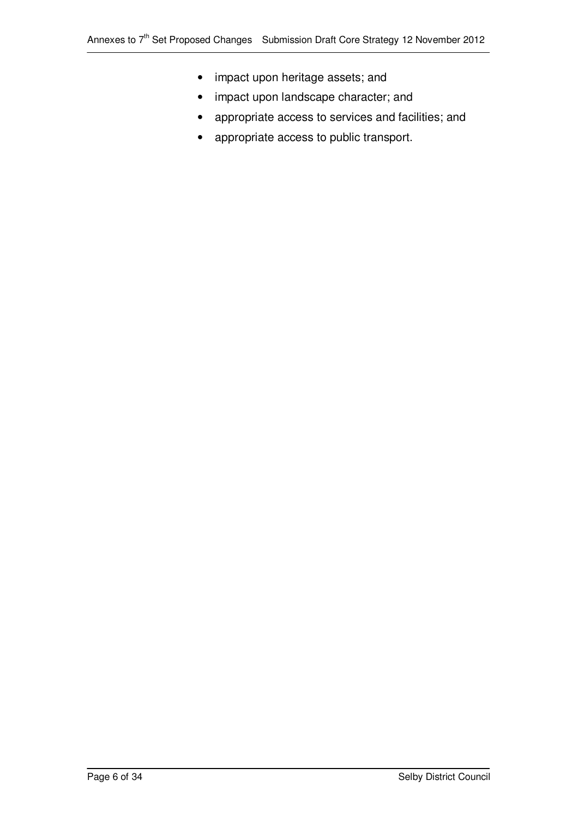- impact upon heritage assets; and
- impact upon landscape character; and
- appropriate access to services and facilities; and
- appropriate access to public transport.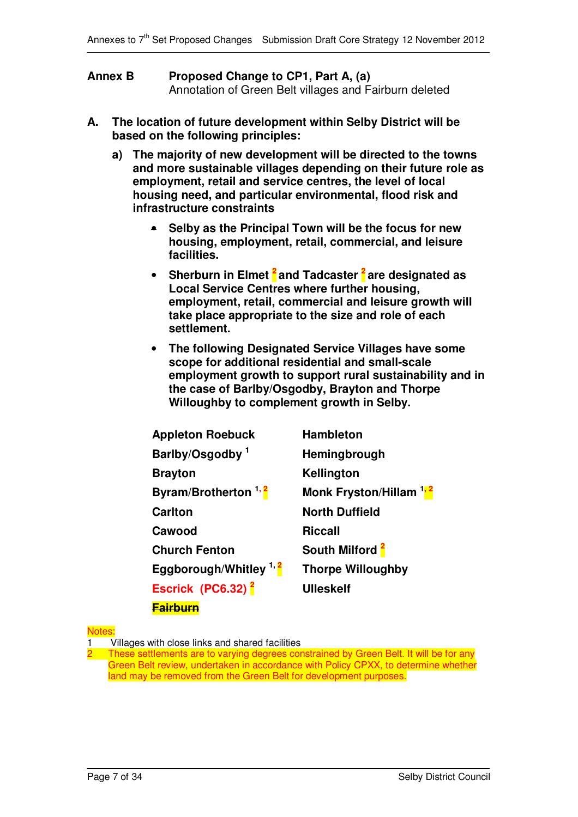| <b>Annex B</b> | Proposed Change to CP1, Part A, (a)                    |
|----------------|--------------------------------------------------------|
|                | Annotation of Green Belt villages and Fairburn deleted |

- **A. The location of future development within Selby District will be based on the following principles:**
	- **a) The majority of new development will be directed to the towns and more sustainable villages depending on their future role as employment, retail and service centres, the level of local housing need, and particular environmental, flood risk and infrastructure constraints**
		- **Selby as the Principal Town will be the focus for new housing, employment, retail, commercial, and leisure facilities.**
		- **Sherburn in Elmet 2 and Tadcaster 2 are designated as Local Service Centres where further housing, employment, retail, commercial and leisure growth will take place appropriate to the size and role of each settlement.**
		- **The following Designated Service Villages have some scope for additional residential and small-scale employment growth to support rural sustainability and in the case of Barlby/Osgodby, Brayton and Thorpe Willoughby to complement growth in Selby.**

| <b>Appleton Roebuck</b>           | <b>Hambleton</b>                   |
|-----------------------------------|------------------------------------|
| Barlby/Osgodby <sup>1</sup>       | Hemingbrough                       |
| <b>Brayton</b>                    | Kellington                         |
| Byram/Brotherton <sup>1,2</sup>   | Monk Fryston/Hillam <sup>1,2</sup> |
| <b>Carlton</b>                    | <b>North Duffield</b>              |
| Cawood                            | Riccall                            |
| <b>Church Fenton</b>              | South Milford <sup>2</sup>         |
| Eggborough/Whitley <sup>1,2</sup> | <b>Thorpe Willoughby</b>           |
| Escrick (PC6.32) <sup>2</sup>     | <b>Ulleskelf</b>                   |
| <b>Fairburn</b>                   |                                    |

#### **Notes**

1 Villages with close links and shared facilities

These settlements are to varying degrees constrained by Green Belt. It will be for any Green Belt review, undertaken in accordance with Policy CPXX, to determine whether land may be removed from the Green Belt for development purposes.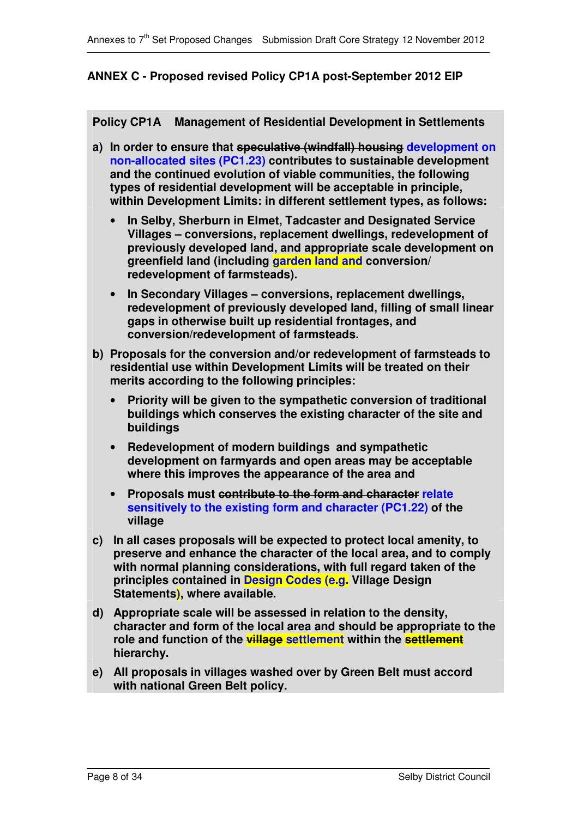### **ANNEX C - Proposed revised Policy CP1A post-September 2012 EIP**

**Policy CP1A Management of Residential Development in Settlements**

- **a) In order to ensure that speculative (windfall) housing development on non-allocated sites (PC1.23) contributes to sustainable development and the continued evolution of viable communities, the following types of residential development will be acceptable in principle, within Development Limits: in different settlement types, as follows:**
	- **In Selby, Sherburn in Elmet, Tadcaster and Designated Service Villages – conversions, replacement dwellings, redevelopment of previously developed land, and appropriate scale development on greenfield land (including garden land and conversion/ redevelopment of farmsteads).**
	- **In Secondary Villages – conversions, replacement dwellings, redevelopment of previously developed land, filling of small linear gaps in otherwise built up residential frontages, and conversion/redevelopment of farmsteads.**
- **b) Proposals for the conversion and/or redevelopment of farmsteads to residential use within Development Limits will be treated on their merits according to the following principles:**
	- **Priority will be given to the sympathetic conversion of traditional buildings which conserves the existing character of the site and buildings**
	- **Redevelopment of modern buildings and sympathetic development on farmyards and open areas may be acceptable where this improves the appearance of the area and**
	- **Proposals must contribute to the form and character relate sensitively to the existing form and character (PC1.22) of the village**
- **c) In all cases proposals will be expected to protect local amenity, to preserve and enhance the character of the local area, and to comply with normal planning considerations, with full regard taken of the principles contained in Design Codes (e.g. Village Design Statements), where available.**
- **d) Appropriate scale will be assessed in relation to the density, character and form of the local area and should be appropriate to the role and function of the village settlement within the settlement hierarchy.**
- **e) All proposals in villages washed over by Green Belt must accord with national Green Belt policy.**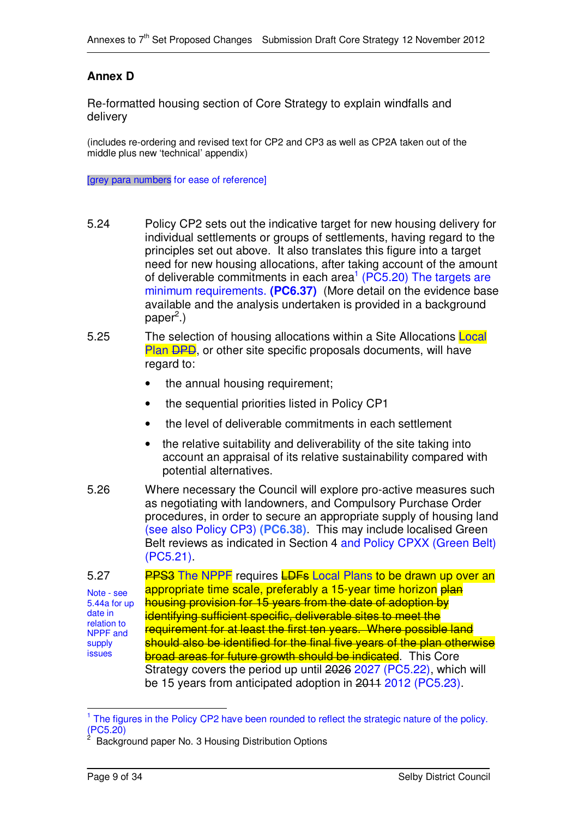## **Annex D**

Re-formatted housing section of Core Strategy to explain windfalls and delivery

(includes re-ordering and revised text for CP2 and CP3 as well as CP2A taken out of the middle plus new 'technical' appendix)

[grey para numbers for ease of reference]

- 5.24 Policy CP2 sets out the indicative target for new housing delivery for individual settlements or groups of settlements, having regard to the principles set out above. It also translates this figure into a target need for new housing allocations, after taking account of the amount of deliverable commitments in each area<sup>1</sup> (PC5.20) The targets are minimum requirements. **(PC6.37)** (More detail on the evidence base available and the analysis undertaken is provided in a background paper<sup>2</sup>.)
- 5.25 The selection of housing allocations within a Site Allocations Local Plan DPD, or other site specific proposals documents, will have regard to:
	- the annual housing requirement;
	- the sequential priorities listed in Policy CP1
	- the level of deliverable commitments in each settlement
	- the relative suitability and deliverability of the site taking into account an appraisal of its relative sustainability compared with potential alternatives.
- 5.26 Where necessary the Council will explore pro-active measures such as negotiating with landowners, and Compulsory Purchase Order procedures, in order to secure an appropriate supply of housing land (see also Policy CP3) **(PC6.38)**. This may include localised Green Belt reviews as indicated in Section 4 and Policy CPXX (Green Belt) (PC5.21).

5.27 Note - see 5.44a for up date in relation to NPPF and supply issues **PPS3** The NPPF requires **LDFs** Local Plans to be drawn up over an appropriate time scale, preferably a 15-year time horizon plan housing provision for 15 years from the date of adoption by identifying sufficient specific, deliverable sites to meet the requirement for at least the first ten years. Where possible land should also be identified for the final five years of the plan otherwise **broad areas for future growth should be indicated.** This Core Strategy covers the period up until 2026 2027 (PC5.22), which will be 15 years from anticipated adoption in 2011 2012 (PC5.23).

<sup>&</sup>lt;sup>1</sup> The figures in the Policy CP2 have been rounded to reflect the strategic nature of the policy. (PC5.20)

<sup>2</sup> Background paper No. 3 Housing Distribution Options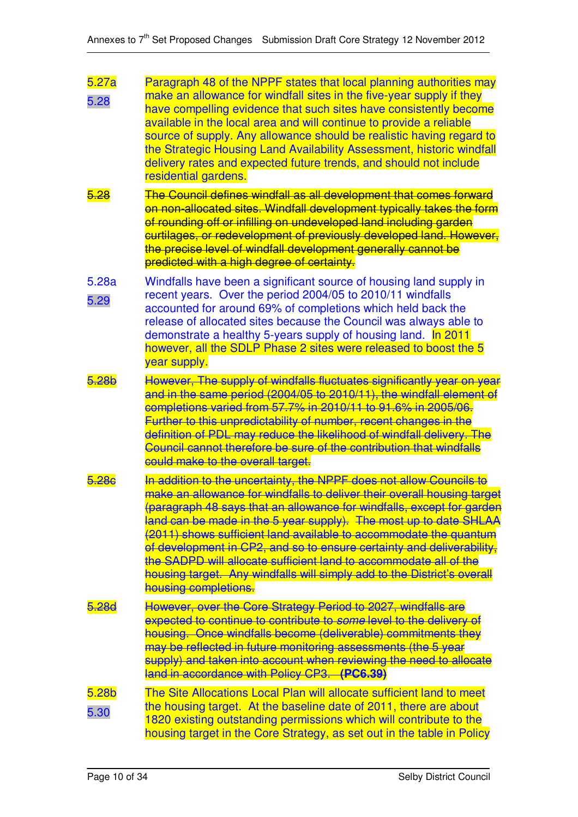| 5.27a<br>5.28 | Paragraph 48 of the NPPF states that local planning authorities may<br>make an allowance for windfall sites in the five-year supply if they<br>have compelling evidence that such sites have consistently become<br>available in the local area and will continue to provide a reliable<br>source of supply. Any allowance should be realistic having regard to<br>the Strategic Housing Land Availability Assessment, historic windfall<br>delivery rates and expected future trends, and should not include<br>residential gardens.                                                                              |
|---------------|--------------------------------------------------------------------------------------------------------------------------------------------------------------------------------------------------------------------------------------------------------------------------------------------------------------------------------------------------------------------------------------------------------------------------------------------------------------------------------------------------------------------------------------------------------------------------------------------------------------------|
| 5.28          | The Council defines windfall as all development that comes forward<br>on non-allocated sites. Windfall development typically takes the form<br>of rounding off or infilling on undeveloped land including garden<br>curtilages, or redevelopment of previously developed land. However,<br>the precise level of windfall development generally cannot be<br>predicted with a high degree of certainty.                                                                                                                                                                                                             |
| 5.28a<br>5.29 | Windfalls have been a significant source of housing land supply in<br>recent years. Over the period 2004/05 to 2010/11 windfalls<br>accounted for around 69% of completions which held back the<br>release of allocated sites because the Council was always able to<br>demonstrate a healthy 5-years supply of housing land. In 2011<br>however, all the SDLP Phase 2 sites were released to boost the 5<br>year supply.                                                                                                                                                                                          |
| 5.28b         | However, The supply of windfalls fluctuates significantly year on year<br>and in the same period (2004/05 to 2010/11), the windfall element of<br>completions varied from 57.7% in 2010/11 to 91.6% in 2005/06.<br>Further to this unpredictability of number, recent changes in the<br>definition of PDL may reduce the likelihood of windfall delivery. The<br>Council cannot therefore be sure of the contribution that windfalls<br>could make to the overall target.                                                                                                                                          |
|               | In addition to the uncertainty, the NPPF does not allow Councils to<br>make an allowance for windfalls to deliver their overall housing target<br>(paragraph 48 says that an allowance for windfalls, except for garden<br>land can be made in the 5 year supply). The most up to date SHLAA<br>(2011) shows sufficient land available to accommodate the quantum<br>of development in CP2, and so to ensure certainty and deliverability,<br>the SADPD will allocate sufficient land to accommodate all of the<br>housing target. Any windfalls will simply add to the District's overall<br>housing completions. |
| 5.28d         | However, over the Core Strategy Period to 2027, windfalls are<br>expected to continue to contribute to some level to the delivery of<br>housing. Once windfalls become (deliverable) commitments they<br>may be reflected in future monitoring assessments (the 5 year<br>supply) and taken into account when reviewing the need to allocate<br>land in accordance with Policy CP3. (PC6.39)                                                                                                                                                                                                                       |
| 5.28b<br>5.30 | The Site Allocations Local Plan will allocate sufficient land to meet<br>the housing target. At the baseline date of 2011, there are about<br>1820 existing outstanding permissions which will contribute to the<br>housing target in the Core Strategy, as set out in the table in Policy                                                                                                                                                                                                                                                                                                                         |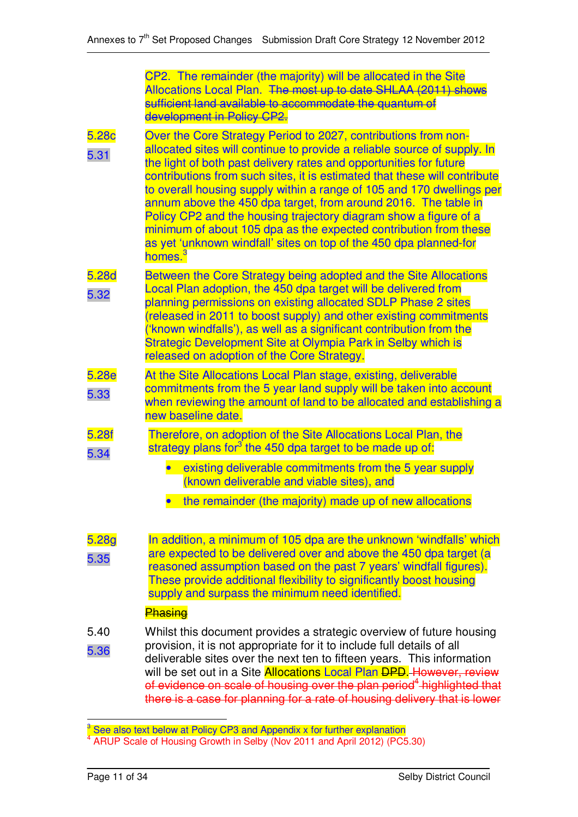|                           | CP2. The remainder (the majority) will be allocated in the Site<br>Allocations Local Plan. The most up to date SHLAA (2011) shows<br>sufficient land available to accommodate the quantum of<br>development in Policy CP2.                                                                                                                                                                                                                                                                                                                                                                                                                                                   |
|---------------------------|------------------------------------------------------------------------------------------------------------------------------------------------------------------------------------------------------------------------------------------------------------------------------------------------------------------------------------------------------------------------------------------------------------------------------------------------------------------------------------------------------------------------------------------------------------------------------------------------------------------------------------------------------------------------------|
| 5.28 <sub>c</sub><br>5.31 | Over the Core Strategy Period to 2027, contributions from non-<br>allocated sites will continue to provide a reliable source of supply. In<br>the light of both past delivery rates and opportunities for future<br>contributions from such sites, it is estimated that these will contribute<br>to overall housing supply within a range of 105 and 170 dwellings per<br>annum above the 450 dpa target, from around 2016. The table in<br>Policy CP2 and the housing trajectory diagram show a figure of a<br>minimum of about 105 dpa as the expected contribution from these<br>as yet 'unknown windfall' sites on top of the 450 dpa planned-for<br>homes. <sup>3</sup> |
| 5.28d<br>5.32             | Between the Core Strategy being adopted and the Site Allocations<br>Local Plan adoption, the 450 dpa target will be delivered from<br>planning permissions on existing allocated SDLP Phase 2 sites<br>(released in 2011 to boost supply) and other existing commitments<br>('known windfalls'), as well as a significant contribution from the<br>Strategic Development Site at Olympia Park in Selby which is<br>released on adoption of the Core Strategy.                                                                                                                                                                                                                |
| 5.28e<br>5.33             | At the Site Allocations Local Plan stage, existing, deliverable<br>commitments from the 5 year land supply will be taken into account<br>when reviewing the amount of land to be allocated and establishing a<br>new baseline date.                                                                                                                                                                                                                                                                                                                                                                                                                                          |
| 5.28f<br>5.34             | Therefore, on adoption of the Site Allocations Local Plan, the<br>strategy plans for <sup>3</sup> the 450 dpa target to be made up of:                                                                                                                                                                                                                                                                                                                                                                                                                                                                                                                                       |
|                           | existing deliverable commitments from the 5 year supply<br>(known deliverable and viable sites), and                                                                                                                                                                                                                                                                                                                                                                                                                                                                                                                                                                         |
|                           | the remainder (the majority) made up of new allocations                                                                                                                                                                                                                                                                                                                                                                                                                                                                                                                                                                                                                      |
| 5.28g<br>5.35             | In addition, a minimum of 105 dpa are the unknown 'windfalls' which<br>are expected to be delivered over and above the 450 dpa target (a<br>reasoned assumption based on the past 7 years' windfall figures).<br>These provide additional flexibility to significantly boost housing<br>supply and surpass the minimum need identified.                                                                                                                                                                                                                                                                                                                                      |
|                           | Phasing                                                                                                                                                                                                                                                                                                                                                                                                                                                                                                                                                                                                                                                                      |
| 5.40<br>5.36              | Whilst this document provides a strategic overview of future housing<br>provision, it is not appropriate for it to include full details of all<br>deliverable sites over the next ten to fifteen years. This information<br>will be set out in a Site Allocations Local Plan DPD. However, review<br>of evidence on scale of housing over the plan period <sup>4</sup> highlighted that<br>there is a case for planning for a rate of housing delivery that is lower                                                                                                                                                                                                         |

 $3$  See also text below at Policy CP3 and Appendix x for further explanation

<sup>&</sup>lt;sup>4</sup> ARUP Scale of Housing Growth in Selby (Nov 2011 and April 2012) (PC5.30)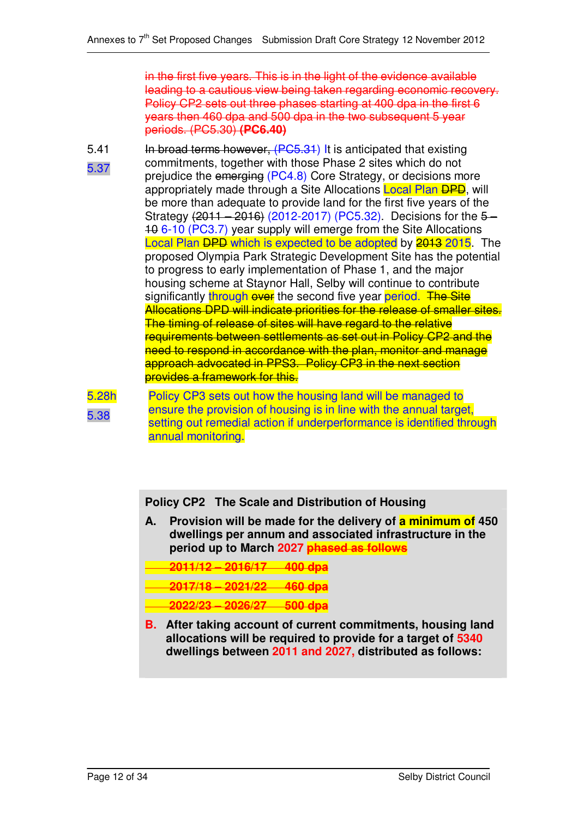in the first five years. This is in the light of the evidence available leading to a cautious view being taken regarding economic recovery. Policy CP2 sets out three phases starting at 400 dpa in the first 6 years then 460 dpa and 500 dpa in the two subsequent 5 year periods. (PC5.30) **(PC6.40)**

- 5.41
- 5.37

In broad terms however, (PC5.31) It is anticipated that existing commitments, together with those Phase 2 sites which do not prejudice the emerging (PC4.8) Core Strategy, or decisions more appropriately made through a Site Allocations Local Plan DPD, will be more than adequate to provide land for the first five years of the Strategy (2011 – 2016) (2012-2017) (PC5.32). Decisions for the 5-10 6-10 (PC3.7) year supply will emerge from the Site Allocations Local Plan DPD which is expected to be adopted by 2013 2015. The proposed Olympia Park Strategic Development Site has the potential to progress to early implementation of Phase 1, and the major housing scheme at Staynor Hall, Selby will continue to contribute significantly through over the second five year period. The Site Allocations DPD will indicate priorities for the release of smaller sites. The timing of release of sites will have regard to the relative requirements between settlements as set out in Policy CP2 and the need to respond in accordance with the plan, monitor and manage approach advocated in PPS3. Policy CP3 in the next section provides a framework for this.



Policy CP3 sets out how the housing land will be managed to ensure the provision of housing is in line with the annual target, setting out remedial action if underperformance is identified through annual monitoring.

**Policy CP2 The Scale and Distribution of Housing**

**A. Provision will be made for the delivery of a minimum of 450 dwellings per annum and associated infrastructure in the period up to March 2027 phased as follows**

**2011/12 – 2016/17 400 dpa**

**2017/18 – 2021/22 460 dpa**

- **2022/23 – 2026/27 500 dpa**
- **B. After taking account of current commitments, housing land allocations will be required to provide for a target of 5340 dwellings between 2011 and 2027, distributed as follows:**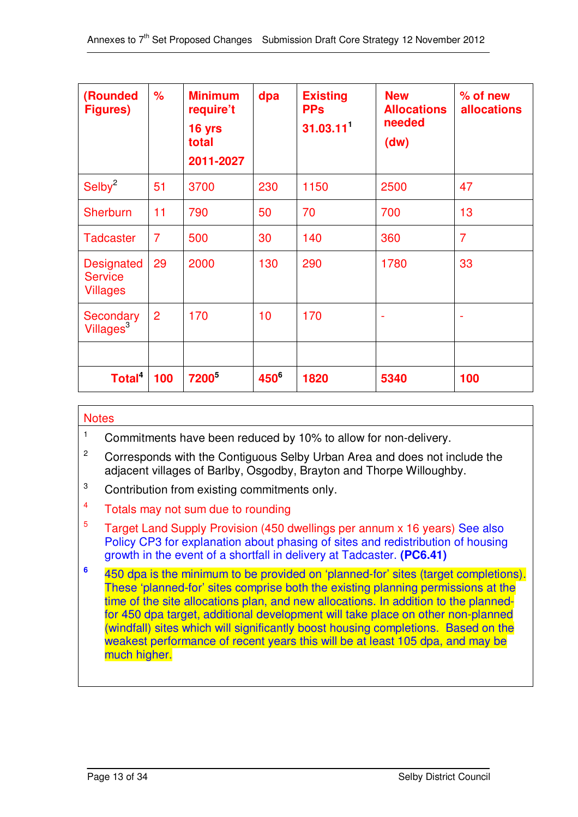| (Rounded<br><b>Figures)</b>                            | $\frac{9}{6}$  | <b>Minimum</b><br>require't<br>16 yrs<br>total<br>2011-2027 | dpa     | <b>Existing</b><br><b>PPs</b><br>31.03.11 <sup>1</sup> | <b>New</b><br><b>Allocations</b><br>needed<br>(dw) | $%$ of new<br><b>allocations</b> |
|--------------------------------------------------------|----------------|-------------------------------------------------------------|---------|--------------------------------------------------------|----------------------------------------------------|----------------------------------|
| Selby <sup>2</sup>                                     | 51             | 3700                                                        | 230     | 1150                                                   | 2500                                               | 47                               |
| <b>Sherburn</b>                                        | 11             | 790                                                         | 50      | 70                                                     | 700                                                | 13                               |
| <b>Tadcaster</b>                                       | $\overline{7}$ | 500                                                         | 30      | 140                                                    | 360                                                | $\overline{7}$                   |
| <b>Designated</b><br><b>Service</b><br><b>Villages</b> | 29             | 2000                                                        | 130     | 290                                                    | 1780                                               | 33                               |
| Secondary<br>Villages <sup>3</sup>                     | $\overline{2}$ | 170                                                         | 10      | 170                                                    | $\blacksquare$                                     | ٠                                |
|                                                        |                |                                                             |         |                                                        |                                                    |                                  |
| Total <sup>4</sup>                                     | 100            | <b>7200</b> <sup>5</sup>                                    | $450^6$ | 1820                                                   | 5340                                               | 100                              |

### **Notes**

<sup>1</sup> Commitments have been reduced by 10% to allow for non-delivery.

- <sup>2</sup> Corresponds with the Contiguous Selby Urban Area and does not include the adjacent villages of Barlby, Osgodby, Brayton and Thorpe Willoughby.
- <sup>3</sup> Contribution from existing commitments only.
- 4 Totals may not sum due to rounding
- 5 Target Land Supply Provision (450 dwellings per annum x 16 years) See also Policy CP3 for explanation about phasing of sites and redistribution of housing growth in the event of a shortfall in delivery at Tadcaster. **(PC6.41)**
- **6** 450 dpa is the minimum to be provided on 'planned-for' sites (target completions). These 'planned-for' sites comprise both the existing planning permissions at the time of the site allocations plan, and new allocations. In addition to the plannedfor 450 dpa target, additional development will take place on other non-planned (windfall) sites which will significantly boost housing completions. Based on the weakest performance of recent years this will be at least 105 dpa, and may be much higher.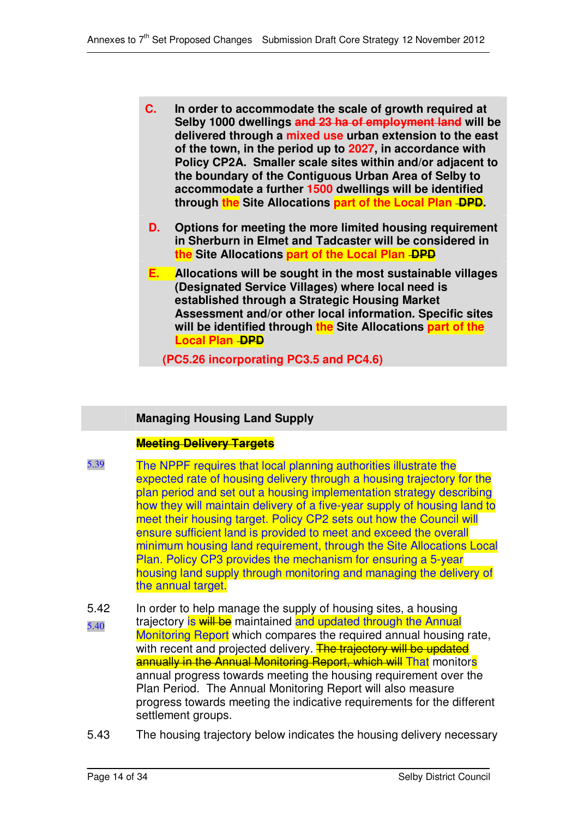- **C. In order to accommodate the scale of growth required at Selby 1000 dwellings and 23 ha of employment land will be delivered through a mixed use urban extension to the east of the town, in the period up to 2027, in accordance with Policy CP2A. Smaller scale sites within and/or adjacent to the boundary of the Contiguous Urban Area of Selby to accommodate a further 1500 dwellings will be identified through the Site Allocations part of the Local Plan DPD.**
- **D. Options for meeting the more limited housing requirement in Sherburn in Elmet and Tadcaster will be considered in the Site Allocations part of the Local Plan DPD**
- **E. Allocations will be sought in the most sustainable villages (Designated Service Villages) where local need is established through a Strategic Housing Market Assessment and/or other local information. Specific sites will be identified through the Site Allocations part of the Local Plan -DPD** 
	- **(PC5.26 incorporating PC3.5 and PC4.6)**

## **Managing Housing Land Supply**

### **Meeting Delivery Targets**

- 5.39 The NPPF requires that local planning authorities illustrate the expected rate of housing delivery through a housing trajectory for the plan period and set out a housing implementation strategy describing how they will maintain delivery of a five-year supply of housing land to meet their housing target. Policy CP2 sets out how the Council will ensure sufficient land is provided to meet and exceed the overall minimum housing land requirement, through the Site Allocations Local Plan. Policy CP3 provides the mechanism for ensuring a 5-year housing land supply through monitoring and managing the delivery of the annual target.
- 5.42 5.40 In order to help manage the supply of housing sites, a housing trajectory is will be maintained and updated through the Annual Monitoring Report which compares the required annual housing rate, with recent and projected delivery. The trajectory will be updated annually in the Annual Monitoring Report, which will That monitors annual progress towards meeting the housing requirement over the Plan Period. The Annual Monitoring Report will also measure progress towards meeting the indicative requirements for the different settlement groups.
- 5.43 The housing trajectory below indicates the housing delivery necessary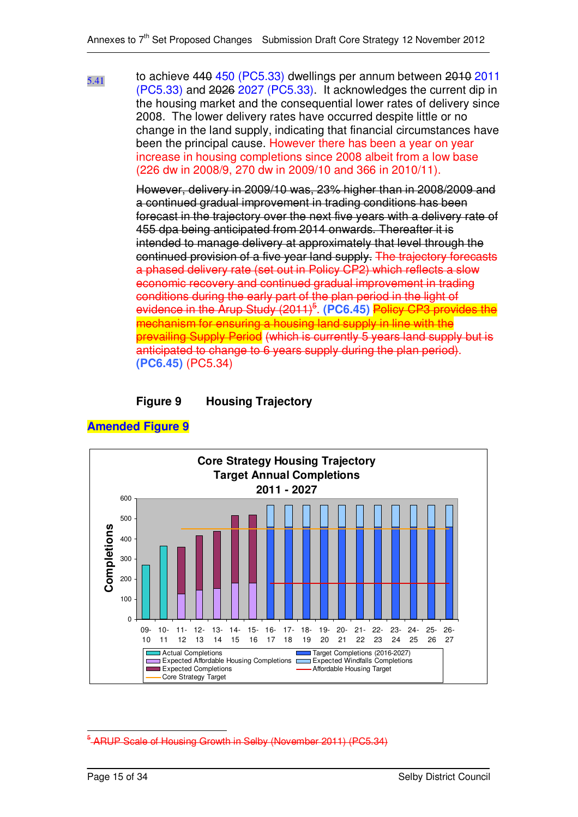5.41 to achieve 440 450 (PC5.33) dwellings per annum between 2010 2011 (PC5.33) and 2026 2027 (PC5.33). It acknowledges the current dip in the housing market and the consequential lower rates of delivery since 2008. The lower delivery rates have occurred despite little or no change in the land supply, indicating that financial circumstances have been the principal cause. However there has been a year on year increase in housing completions since 2008 albeit from a low base (226 dw in 2008/9, 270 dw in 2009/10 and 366 in 2010/11).

> However, delivery in 2009/10 was, 23% higher than in 2008/2009 and a continued gradual improvement in trading conditions has been forecast in the trajectory over the next five years with a delivery rate of 455 dpa being anticipated from 2014 onwards. Thereafter it is intended to manage delivery at approximately that level through the continued provision of a five year land supply. The trajectory forecasts a phased delivery rate (set out in Policy CP2) which reflects a slow economic recovery and continued gradual improvement in trading conditions during the early part of the plan period in the light of evidence in the Arup Study (2011) 5 . **(PC6.45)** Policy CP3 provides the mechanism for ensuring a housing land supply in line with the prevailing Supply Period (which is currently 5 years land supply but is anticipated to change to 6 years supply during the plan period). **(PC6.45)** (PC5.34)

### **Figure 9 Housing Trajectory**



#### **Amended Figure 9**

RUP Scale of Housing Growth in Selby (November 2011) (PC5.34)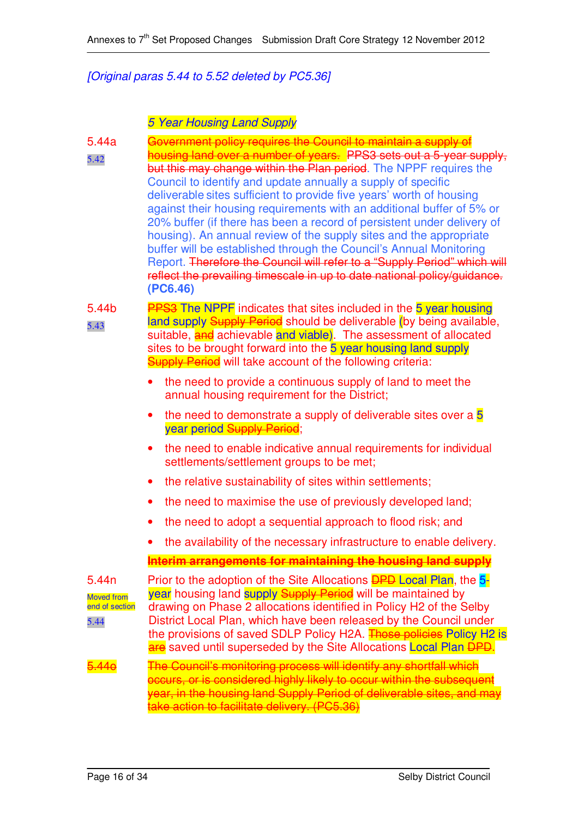### *[Original paras 5.44 to 5.52 deleted by PC5.36]*

### *5 Year Housing Land Supply*

5.44a 5.42 Government policy requires the Council to maintain a supply of housing land over a number of years. PPS3 sets out a 5-year supply, but this may change within the Plan period. The NPPF requires the Council to identify and update annually a supply of specific deliverable sites sufficient to provide five years' worth of housing against their housing requirements with an additional buffer of 5% or 20% buffer (if there has been a record of persistent under delivery of housing). An annual review of the supply sites and the appropriate buffer will be established through the Council's Annual Monitoring Report. Therefore the Council will refer to a "Supply Period" which will reflect the prevailing timescale in up to date national policy/guidance. **(PC6.46)**

5.44b 5.43 **PPS3** The NPPF indicates that sites included in the 5 year housing land supply Supply Period should be deliverable (by being available, suitable, and achievable and viable). The assessment of allocated sites to be brought forward into the 5 year housing land supply **Supply Period** will take account of the following criteria:

- the need to provide a continuous supply of land to meet the annual housing requirement for the District;
- $\bullet$  the need to demonstrate a supply of deliverable sites over a  $5$ year period Supply Period;
- the need to enable indicative annual requirements for individual settlements/settlement groups to be met;
- the relative sustainability of sites within settlements;
- the need to maximise the use of previously developed land;
- the need to adopt a sequential approach to flood risk; and
- the availability of the necessary infrastructure to enable delivery.

### **Interim arrangements for maintaining the housing land supply**

5.44n Moved from end of section 5.44 Prior to the adoption of the Site Allocations **DPD** Local Plan, the 5year housing land supply Supply Period will be maintained by drawing on Phase 2 allocations identified in Policy H2 of the Selby District Local Plan, which have been released by the Council under the provisions of saved SDLP Policy H2A. Those policies Policy H2 is are saved until superseded by the Site Allocations Local Plan <del>DPD</del>.

5.44o The Council's monitoring process will identify any shortfall which occurs, or is considered highly likely to occur within the subsequent year, in the housing land Supply Period of deliverable sites, and may take action to facilitate delivery. (PC5.36)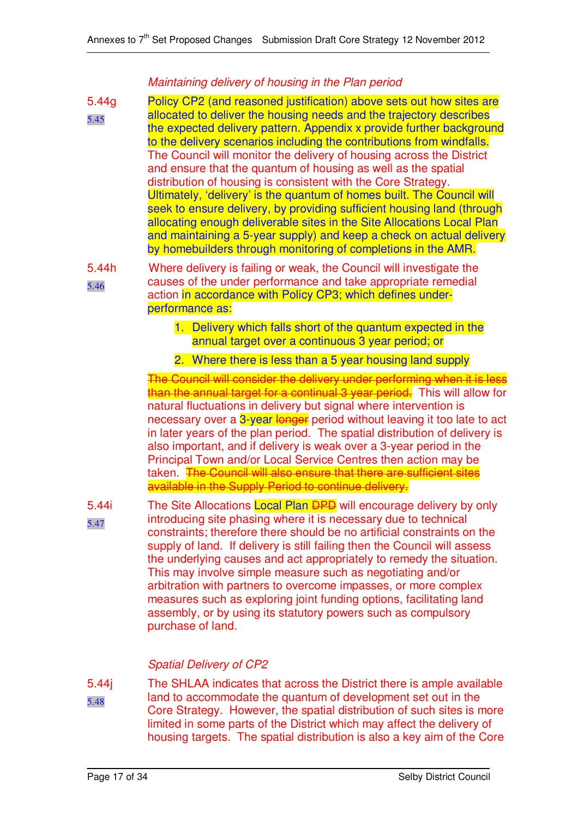### *Maintaining delivery of housing in the Plan period*

5.44g 5.45 Policy CP2 (and reasoned justification) above sets out how sites are allocated to deliver the housing needs and the trajectory describes the expected delivery pattern. Appendix x provide further background to the delivery scenarios including the contributions from windfalls. The Council will monitor the delivery of housing across the District and ensure that the quantum of housing as well as the spatial distribution of housing is consistent with the Core Strategy. Ultimately, 'delivery' is the quantum of homes built. The Council will seek to ensure delivery, by providing sufficient housing land (through allocating enough deliverable sites in the Site Allocations Local Plan and maintaining a 5-year supply) and keep a check on actual delivery by homebuilders through monitoring of completions in the AMR.

5.44h 5.46 Where delivery is failing or weak, the Council will investigate the causes of the under performance and take appropriate remedial action in accordance with Policy CP3; which defines underperformance as:

- 1. Delivery which falls short of the quantum expected in the annual target over a continuous 3 year period; or
- 2. Where there is less than a 5 year housing land supply

The Council will consider the delivery under performing when it is less than the annual target for a continual 3 year period. This will allow for natural fluctuations in delivery but signal where intervention is necessary over a 3-year longer period without leaving it too late to act in later years of the plan period. The spatial distribution of delivery is also important, and if delivery is weak over a 3-year period in the Principal Town and/or Local Service Centres then action may be taken. The Council will also ensure that there are sufficient sites available in the Supply Period to continue delivery.

5.44i 5.47 The Site Allocations Local Plan **DPD** will encourage delivery by only introducing site phasing where it is necessary due to technical constraints; therefore there should be no artificial constraints on the supply of land. If delivery is still failing then the Council will assess the underlying causes and act appropriately to remedy the situation. This may involve simple measure such as negotiating and/or arbitration with partners to overcome impasses, or more complex measures such as exploring joint funding options, facilitating land assembly, or by using its statutory powers such as compulsory purchase of land.

## *Spatial Delivery of CP2*

5.44j 5.48 The SHLAA indicates that across the District there is ample available land to accommodate the quantum of development set out in the Core Strategy. However, the spatial distribution of such sites is more limited in some parts of the District which may affect the delivery of housing targets. The spatial distribution is also a key aim of the Core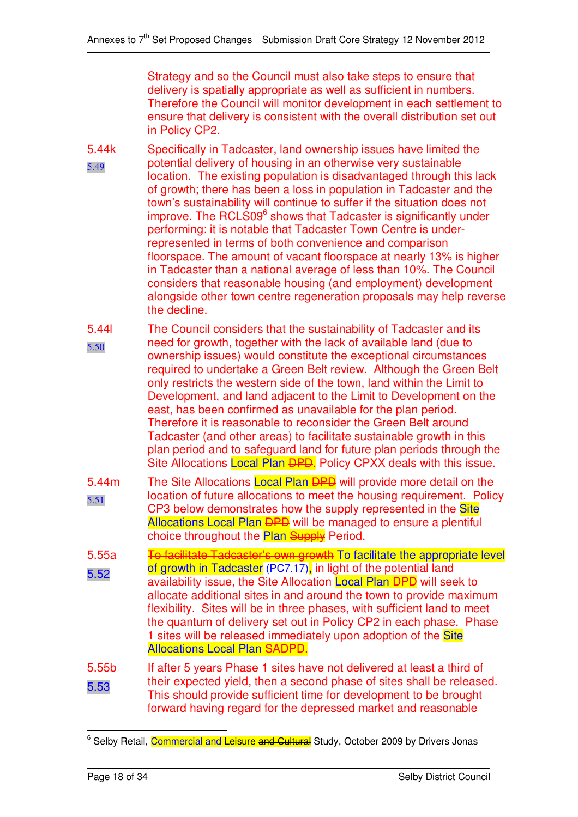Strategy and so the Council must also take steps to ensure that delivery is spatially appropriate as well as sufficient in numbers. Therefore the Council will monitor development in each settlement to ensure that delivery is consistent with the overall distribution set out in Policy CP2.

- 5.44k 5.49 Specifically in Tadcaster, land ownership issues have limited the potential delivery of housing in an otherwise very sustainable location. The existing population is disadvantaged through this lack of growth; there has been a loss in population in Tadcaster and the town's sustainability will continue to suffer if the situation does not improve. The RCLS09<sup>6</sup> shows that Tadcaster is significantly under performing: it is notable that Tadcaster Town Centre is underrepresented in terms of both convenience and comparison floorspace. The amount of vacant floorspace at nearly 13% is higher in Tadcaster than a national average of less than 10%. The Council considers that reasonable housing (and employment) development alongside other town centre regeneration proposals may help reverse the decline.
- 5.44l 5.50 The Council considers that the sustainability of Tadcaster and its need for growth, together with the lack of available land (due to ownership issues) would constitute the exceptional circumstances required to undertake a Green Belt review. Although the Green Belt only restricts the western side of the town, land within the Limit to Development, and land adjacent to the Limit to Development on the east, has been confirmed as unavailable for the plan period. Therefore it is reasonable to reconsider the Green Belt around Tadcaster (and other areas) to facilitate sustainable growth in this plan period and to safeguard land for future plan periods through the Site Allocations Local Plan DPD. Policy CPXX deals with this issue.
- 5.44m 5.51 The Site Allocations Local Plan **DPD** will provide more detail on the location of future allocations to meet the housing requirement. Policy CP3 below demonstrates how the supply represented in the Site Allocations Local Plan **DPD** will be managed to ensure a plentiful choice throughout the **Plan Supply** Period.
- 5.55a 5.52 To facilitate Tadcaster's own growth To facilitate the appropriate level of growth in Tadcaster (PC7.17), in light of the potential land availability issue, the Site Allocation Local Plan DPD will seek to allocate additional sites in and around the town to provide maximum flexibility. Sites will be in three phases, with sufficient land to meet the quantum of delivery set out in Policy CP2 in each phase. Phase 1 sites will be released immediately upon adoption of the Site Allocations Local Plan SADPD.
- 5.55b 5.53 If after 5 years Phase 1 sites have not delivered at least a third of their expected yield, then a second phase of sites shall be released. This should provide sufficient time for development to be brought forward having regard for the depressed market and reasonable

<sup>&</sup>lt;sup>6</sup> Selby Retail, Commercial and Leisure and Cultural Study, October 2009 by Drivers Jonas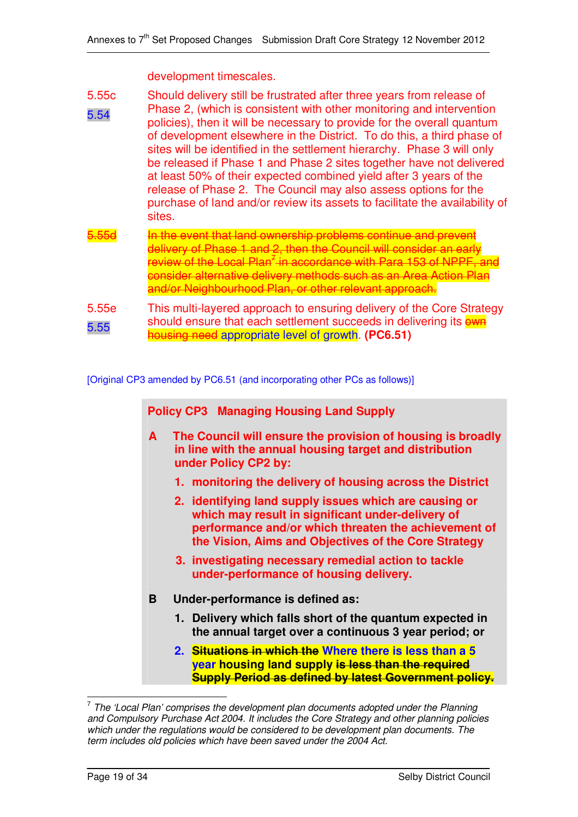development timescales.

- 5.55c 5.54 Should delivery still be frustrated after three years from release of Phase 2, (which is consistent with other monitoring and intervention policies), then it will be necessary to provide for the overall quantum of development elsewhere in the District. To do this, a third phase of sites will be identified in the settlement hierarchy. Phase 3 will only be released if Phase 1 and Phase 2 sites together have not delivered at least 50% of their expected combined yield after 3 years of the release of Phase 2. The Council may also assess options for the purchase of land and/or review its assets to facilitate the availability of sites. 5.55d In the event that land ownership problems continue and prevent
- delivery of Phase 1 and 2, then the Council will consider an early review of the Local Plan<sup>7</sup> in accordance with Para 153 of NPPF, and consider alternative delivery methods such as an Area Action Plan and/or Neighbourhood Plan, or other relevant approach.
- 5.55e 5.55 This multi-layered approach to ensuring delivery of the Core Strategy should ensure that each settlement succeeds in delivering its own housing need appropriate level of growth. **(PC6.51)**

#### [Original CP3 amended by PC6.51 (and incorporating other PCs as follows)]

**Policy CP3 Managing Housing Land Supply**

- **A The Council will ensure the provision of housing is broadly in line with the annual housing target and distribution under Policy CP2 by:**
	- **1. monitoring the delivery of housing across the District**
	- **2. identifying land supply issues which are causing or which may result in significant under-delivery of performance and/or which threaten the achievement of the Vision, Aims and Objectives of the Core Strategy**
	- **3. investigating necessary remedial action to tackle under-performance of housing delivery.**
- **B Under-performance is defined as:**
	- **1. Delivery which falls short of the quantum expected in the annual target over a continuous 3 year period; or**
	- **2. Situations in which the Where there is less than a 5 year housing land supply is less than the required Supply Period as defined by latest Government policy.**

<sup>7</sup> *The 'Local Plan' comprises the development plan documents adopted under the Planning and Compulsory Purchase Act 2004. It includes the Core Strategy and other planning policies which under the regulations would be considered to be development plan documents. The term includes old policies which have been saved under the 2004 Act.*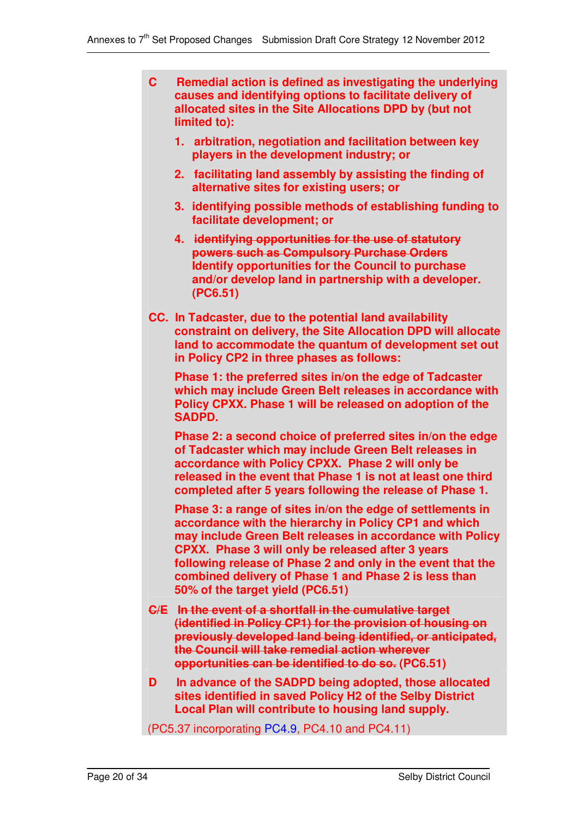- **C Remedial action is defined as investigating the underlying causes and identifying options to facilitate delivery of allocated sites in the Site Allocations DPD by (but not limited to):**
	- **1. arbitration, negotiation and facilitation between key players in the development industry; or**
	- **2. facilitating land assembly by assisting the finding of alternative sites for existing users; or**
	- **3. identifying possible methods of establishing funding to facilitate development; or**
	- **4. identifying opportunities for the use of statutory powers such as Compulsory Purchase Orders Identify opportunities for the Council to purchase and/or develop land in partnership with a developer. (PC6.51)**
- **CC. In Tadcaster, due to the potential land availability constraint on delivery, the Site Allocation DPD will allocate land to accommodate the quantum of development set out in Policy CP2 in three phases as follows:**

**Phase 1: the preferred sites in/on the edge of Tadcaster which may include Green Belt releases in accordance with Policy CPXX. Phase 1 will be released on adoption of the SADPD.**

**Phase 2: a second choice of preferred sites in/on the edge of Tadcaster which may include Green Belt releases in accordance with Policy CPXX. Phase 2 will only be released in the event that Phase 1 is not at least one third completed after 5 years following the release of Phase 1.**

**Phase 3: a range of sites in/on the edge of settlements in accordance with the hierarchy in Policy CP1 and which may include Green Belt releases in accordance with Policy CPXX. Phase 3 will only be released after 3 years following release of Phase 2 and only in the event that the combined delivery of Phase 1 and Phase 2 is less than 50% of the target yield (PC6.51)**

- **C/E In the event of a shortfall in the cumulative target (identified in Policy CP1) for the provision of housing on previously developed land being identified, or anticipated, the Council will take remedial action wherever opportunities can be identified to do so. (PC6.51)**
- **D In advance of the SADPD being adopted, those allocated sites identified in saved Policy H2 of the Selby District Local Plan will contribute to housing land supply.**

(PC5.37 incorporating PC4.9, PC4.10 and PC4.11)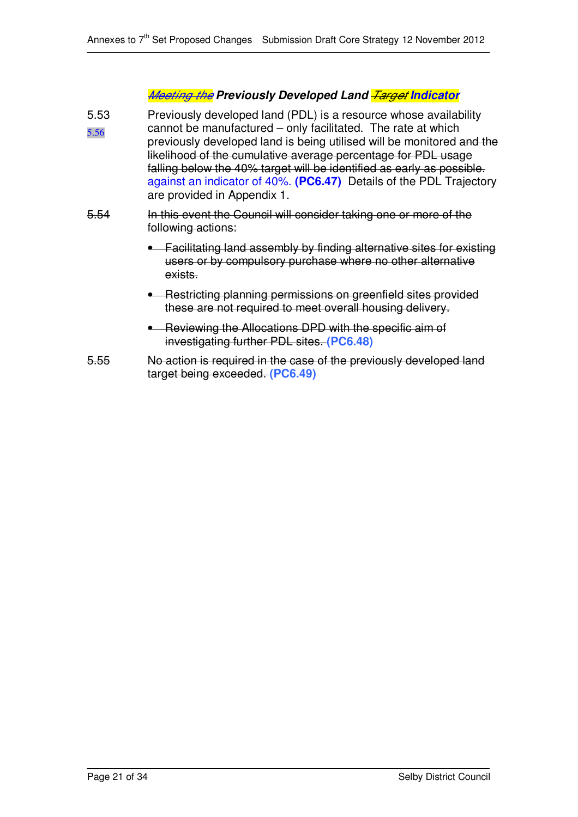# *Meeting the Previously Developed Land Target Indicator*

- 5.53 5.56 Previously developed land (PDL) is a resource whose availability cannot be manufactured – only facilitated. The rate at which previously developed land is being utilised will be monitored and the likelihood of the cumulative average percentage for PDL usage falling below the 40% target will be identified as early as possible. against an indicator of 40%. **(PC6.47)** Details of the PDL Trajectory are provided in Appendix 1.
- 5.54 In this event the Council will consider taking one or more of the following actions:
	- Facilitating land assembly by finding alternative sites for existing users or by compulsory purchase where no other alternative exists.
	- Restricting planning permissions on greenfield sites provided these are not required to meet overall housing delivery.
	- Reviewing the Allocations DPD with the specific aim of investigating further PDL sites. **(PC6.48)**
- 5.55 No action is required in the case of the previously developed land target being exceeded. **(PC6.49)**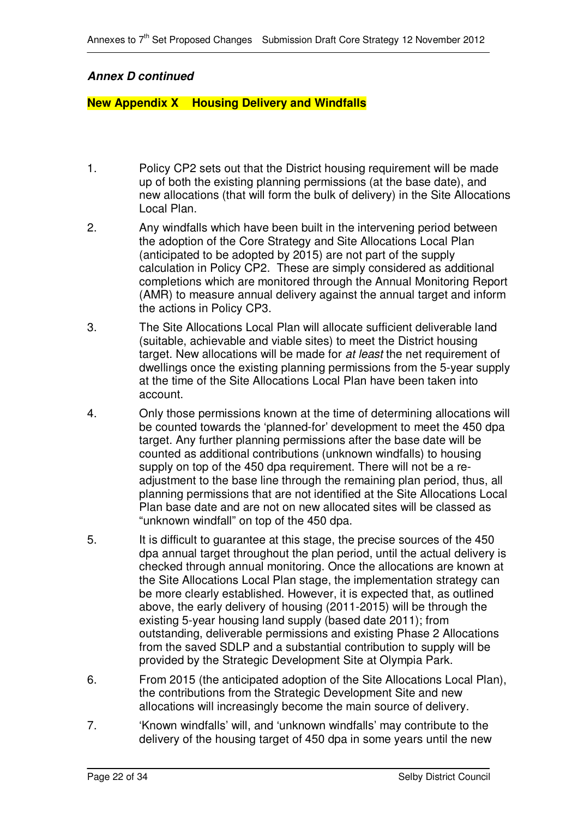### *Annex D continued*

### **New Appendix X Housing Delivery and Windfalls**

- 1. Policy CP2 sets out that the District housing requirement will be made up of both the existing planning permissions (at the base date), and new allocations (that will form the bulk of delivery) in the Site Allocations Local Plan.
- 2. Any windfalls which have been built in the intervening period between the adoption of the Core Strategy and Site Allocations Local Plan (anticipated to be adopted by 2015) are not part of the supply calculation in Policy CP2. These are simply considered as additional completions which are monitored through the Annual Monitoring Report (AMR) to measure annual delivery against the annual target and inform the actions in Policy CP3.
- 3. The Site Allocations Local Plan will allocate sufficient deliverable land (suitable, achievable and viable sites) to meet the District housing target. New allocations will be made for *at least* the net requirement of dwellings once the existing planning permissions from the 5-year supply at the time of the Site Allocations Local Plan have been taken into account.
- 4. Only those permissions known at the time of determining allocations will be counted towards the 'planned-for' development to meet the 450 dpa target. Any further planning permissions after the base date will be counted as additional contributions (unknown windfalls) to housing supply on top of the 450 dpa requirement. There will not be a readjustment to the base line through the remaining plan period, thus, all planning permissions that are not identified at the Site Allocations Local Plan base date and are not on new allocated sites will be classed as "unknown windfall" on top of the 450 dpa.
- 5. It is difficult to guarantee at this stage, the precise sources of the 450 dpa annual target throughout the plan period, until the actual delivery is checked through annual monitoring. Once the allocations are known at the Site Allocations Local Plan stage, the implementation strategy can be more clearly established. However, it is expected that, as outlined above, the early delivery of housing (2011-2015) will be through the existing 5-year housing land supply (based date 2011); from outstanding, deliverable permissions and existing Phase 2 Allocations from the saved SDLP and a substantial contribution to supply will be provided by the Strategic Development Site at Olympia Park.
- 6. From 2015 (the anticipated adoption of the Site Allocations Local Plan), the contributions from the Strategic Development Site and new allocations will increasingly become the main source of delivery.
- 7. 'Known windfalls' will, and 'unknown windfalls' may contribute to the delivery of the housing target of 450 dpa in some years until the new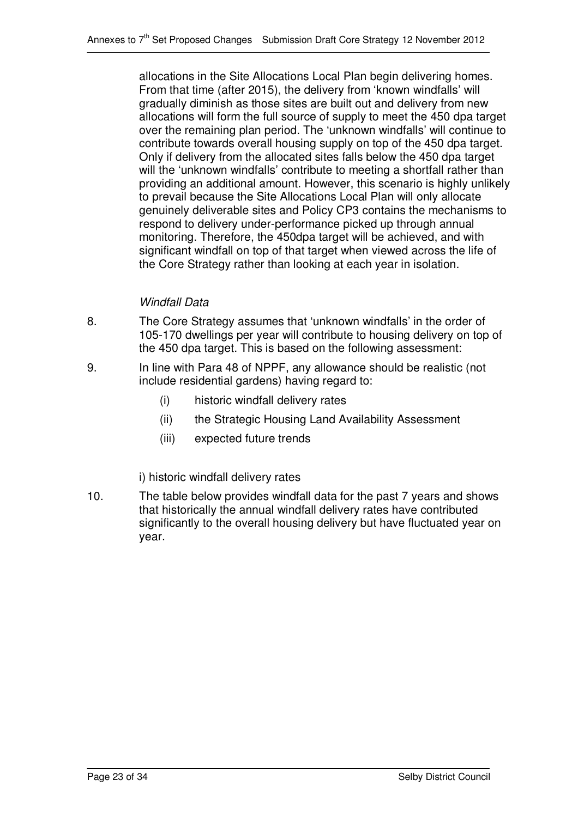allocations in the Site Allocations Local Plan begin delivering homes. From that time (after 2015), the delivery from 'known windfalls' will gradually diminish as those sites are built out and delivery from new allocations will form the full source of supply to meet the 450 dpa target over the remaining plan period. The 'unknown windfalls' will continue to contribute towards overall housing supply on top of the 450 dpa target. Only if delivery from the allocated sites falls below the 450 dpa target will the 'unknown windfalls' contribute to meeting a shortfall rather than providing an additional amount. However, this scenario is highly unlikely to prevail because the Site Allocations Local Plan will only allocate genuinely deliverable sites and Policy CP3 contains the mechanisms to respond to delivery under-performance picked up through annual monitoring. Therefore, the 450dpa target will be achieved, and with significant windfall on top of that target when viewed across the life of the Core Strategy rather than looking at each year in isolation.

## *Windfall Data*

- 8. The Core Strategy assumes that 'unknown windfalls' in the order of 105-170 dwellings per year will contribute to housing delivery on top of the 450 dpa target. This is based on the following assessment:
- 9. In line with Para 48 of NPPF, any allowance should be realistic (not include residential gardens) having regard to:
	- (i) historic windfall delivery rates
	- (ii) the Strategic Housing Land Availability Assessment
	- (iii) expected future trends

i) historic windfall delivery rates

10. The table below provides windfall data for the past 7 years and shows that historically the annual windfall delivery rates have contributed significantly to the overall housing delivery but have fluctuated year on year.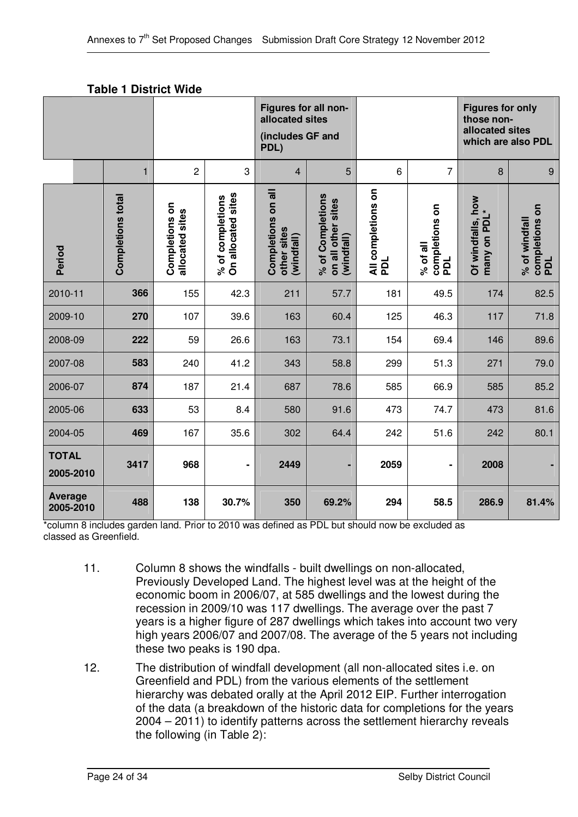| <b>Table 1 District Wide</b> |  |
|------------------------------|--|
|------------------------------|--|

|                             |                          |                                   |                                        |                                                 | Figures for all non-<br>allocated sites<br>(includes GF and<br>PDL) |                           |                                          |                                   | <b>Figures for only</b><br>those non-<br>allocated sites<br>which are also PDL |  |
|-----------------------------|--------------------------|-----------------------------------|----------------------------------------|-------------------------------------------------|---------------------------------------------------------------------|---------------------------|------------------------------------------|-----------------------------------|--------------------------------------------------------------------------------|--|
|                             | $\mathbf{1}$             | $\overline{c}$                    | 3                                      | $\overline{4}$                                  | 5                                                                   | 6                         | $\overline{7}$                           | 8                                 | $\boldsymbol{9}$                                                               |  |
| Period                      | <b>Completions total</b> | Completions on<br>allocated sites | On allocated sites<br>% of completions | Completions on all<br>other sites<br>(windfall) | % of Completions<br>on all other sites<br>(windfall)                | All completions on<br>PDL | completions on<br>% of all<br><b>PDL</b> | Of windfalls, how<br>many on PDL* | completions on<br>% of windfall<br>PDL                                         |  |
| 2010-11                     | 366                      | 155                               | 42.3                                   | 211                                             | 57.7                                                                | 181                       | 49.5                                     | 174                               | 82.5                                                                           |  |
| 2009-10                     | 270                      | 107                               | 39.6                                   | 163                                             | 60.4                                                                | 125                       | 46.3                                     | 117                               | 71.8                                                                           |  |
| 2008-09                     | 222                      | 59                                | 26.6                                   | 163                                             | 73.1                                                                | 154                       | 69.4                                     | 146                               | 89.6                                                                           |  |
| 2007-08                     | 583                      | 240                               | 41.2                                   | 343                                             | 58.8                                                                | 299                       | 51.3                                     | 271                               | 79.0                                                                           |  |
| 2006-07                     | 874                      | 187                               | 21.4                                   | 687                                             | 78.6                                                                | 585                       | 66.9                                     | 585                               | 85.2                                                                           |  |
| 2005-06                     | 633                      | 53                                | 8.4                                    | 580                                             | 91.6                                                                | 473                       | 74.7                                     | 473                               | 81.6                                                                           |  |
| 2004-05                     | 469                      | 167                               | 35.6                                   | 302                                             | 64.4                                                                | 242                       | 51.6                                     | 242                               | 80.1                                                                           |  |
| <b>TOTAL</b><br>2005-2010   | 3417                     | 968                               | $\blacksquare$                         | 2449                                            |                                                                     | 2059                      | -                                        | 2008                              |                                                                                |  |
| <b>Average</b><br>2005-2010 | 488                      | 138                               | 30.7%                                  | 350                                             | 69.2%                                                               | 294                       | 58.5                                     | 286.9                             | 81.4%                                                                          |  |

\*column 8 includes garden land. Prior to 2010 was defined as PDL but should now be excluded as classed as Greenfield.

- 11. Column 8 shows the windfalls built dwellings on non-allocated, Previously Developed Land. The highest level was at the height of the economic boom in 2006/07, at 585 dwellings and the lowest during the recession in 2009/10 was 117 dwellings. The average over the past 7 years is a higher figure of 287 dwellings which takes into account two very high years 2006/07 and 2007/08. The average of the 5 years not including these two peaks is 190 dpa.
- 12. The distribution of windfall development (all non-allocated sites i.e. on Greenfield and PDL) from the various elements of the settlement hierarchy was debated orally at the April 2012 EIP. Further interrogation of the data (a breakdown of the historic data for completions for the years 2004 – 2011) to identify patterns across the settlement hierarchy reveals the following (in Table 2):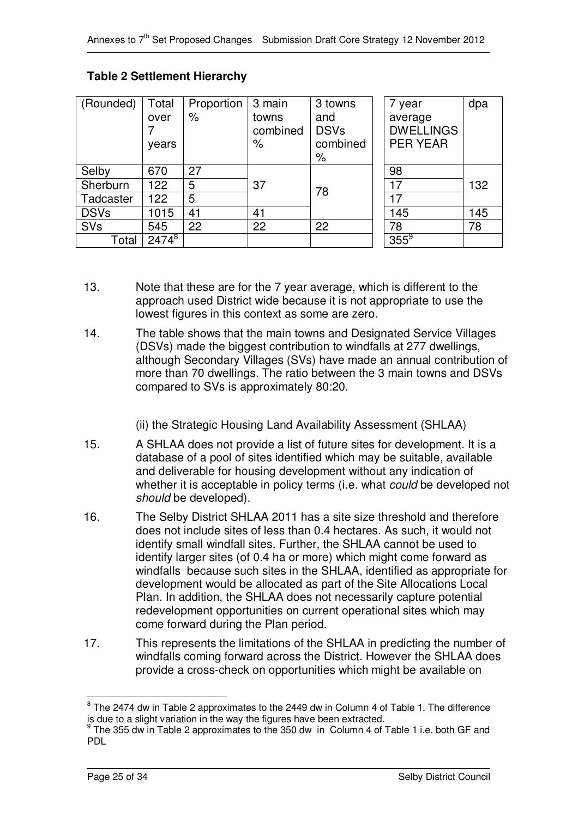| (Rounded)   | Total<br>over<br>years | Proportion<br>$\%$ | 3 main<br>towns<br>combined<br>% | 3 towns<br>and<br><b>DSVs</b><br>combined<br>% | 7 year<br>average<br><b>DWELLINGS</b><br><b>PER YEAR</b> | dpa |
|-------------|------------------------|--------------------|----------------------------------|------------------------------------------------|----------------------------------------------------------|-----|
| Selby       | 670                    | 27                 |                                  |                                                | 98                                                       |     |
| Sherburn    | 122                    | 5                  | 37                               | 78                                             | 17                                                       | 132 |
| Tadcaster   | 122                    | 5                  |                                  |                                                | 17                                                       |     |
| <b>DSVs</b> | 1015                   | 41                 | 41                               |                                                | 145                                                      | 145 |
| <b>SVs</b>  | 545                    | 22                 | 22                               | 22                                             | 78                                                       | 78  |
| Total       | $2474^{8}$             |                    |                                  |                                                | $355^9$                                                  |     |

### **Table 2 Settlement Hierarchy**

- 13. Note that these are for the 7 year average, which is different to the approach used District wide because it is not appropriate to use the lowest figures in this context as some are zero.
- 14. The table shows that the main towns and Designated Service Villages (DSVs) made the biggest contribution to windfalls at 277 dwellings, although Secondary Villages (SVs) have made an annual contribution of more than 70 dwellings. The ratio between the 3 main towns and DSVs compared to SVs is approximately 80:20.

(ii) the Strategic Housing Land Availability Assessment (SHLAA)

- 15. A SHLAA does not provide a list of future sites for development. It is a database of a pool of sites identified which may be suitable, available and deliverable for housing development without any indication of whether it is acceptable in policy terms (i.e. what *could* be developed not *should* be developed).
- 16. The Selby District SHLAA 2011 has a site size threshold and therefore does not include sites of less than 0.4 hectares. As such, it would not identify small windfall sites. Further, the SHLAA cannot be used to identify larger sites (of 0.4 ha or more) which might come forward as windfalls because such sites in the SHLAA, identified as appropriate for development would be allocated as part of the Site Allocations Local Plan. In addition, the SHLAA does not necessarily capture potential redevelopment opportunities on current operational sites which may come forward during the Plan period.
- 17. This represents the limitations of the SHLAA in predicting the number of windfalls coming forward across the District. However the SHLAA does provide a cross-check on opportunities which might be available on

 $^8$  The 2474 dw in Table 2 approximates to the 2449 dw in Column 4 of Table 1. The difference is due to a slight variation in the way the figures have been extracted.

<sup>&</sup>lt;sup>9</sup> The 355 dw in Table 2 approximates to the 350 dw in Column 4 of Table 1 i.e. both GF and PDL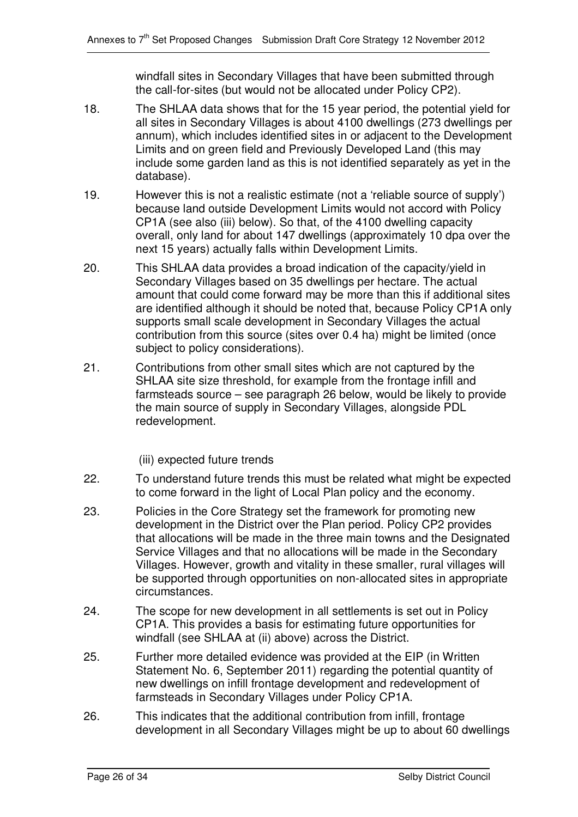windfall sites in Secondary Villages that have been submitted through the call-for-sites (but would not be allocated under Policy CP2).

- 18. The SHLAA data shows that for the 15 year period, the potential yield for all sites in Secondary Villages is about 4100 dwellings (273 dwellings per annum), which includes identified sites in or adjacent to the Development Limits and on green field and Previously Developed Land (this may include some garden land as this is not identified separately as yet in the database).
- 19. However this is not a realistic estimate (not a 'reliable source of supply') because land outside Development Limits would not accord with Policy CP1A (see also (iii) below). So that, of the 4100 dwelling capacity overall, only land for about 147 dwellings (approximately 10 dpa over the next 15 years) actually falls within Development Limits.
- 20. This SHLAA data provides a broad indication of the capacity/yield in Secondary Villages based on 35 dwellings per hectare. The actual amount that could come forward may be more than this if additional sites are identified although it should be noted that, because Policy CP1A only supports small scale development in Secondary Villages the actual contribution from this source (sites over 0.4 ha) might be limited (once subject to policy considerations).
- 21. Contributions from other small sites which are not captured by the SHLAA site size threshold, for example from the frontage infill and farmsteads source – see paragraph 26 below, would be likely to provide the main source of supply in Secondary Villages, alongside PDL redevelopment.
	- (iii) expected future trends
- 22. To understand future trends this must be related what might be expected to come forward in the light of Local Plan policy and the economy.
- 23. Policies in the Core Strategy set the framework for promoting new development in the District over the Plan period. Policy CP2 provides that allocations will be made in the three main towns and the Designated Service Villages and that no allocations will be made in the Secondary Villages. However, growth and vitality in these smaller, rural villages will be supported through opportunities on non-allocated sites in appropriate circumstances.
- 24. The scope for new development in all settlements is set out in Policy CP1A. This provides a basis for estimating future opportunities for windfall (see SHLAA at (ii) above) across the District.
- 25. Further more detailed evidence was provided at the EIP (in Written Statement No. 6, September 2011) regarding the potential quantity of new dwellings on infill frontage development and redevelopment of farmsteads in Secondary Villages under Policy CP1A.
- 26. This indicates that the additional contribution from infill, frontage development in all Secondary Villages might be up to about 60 dwellings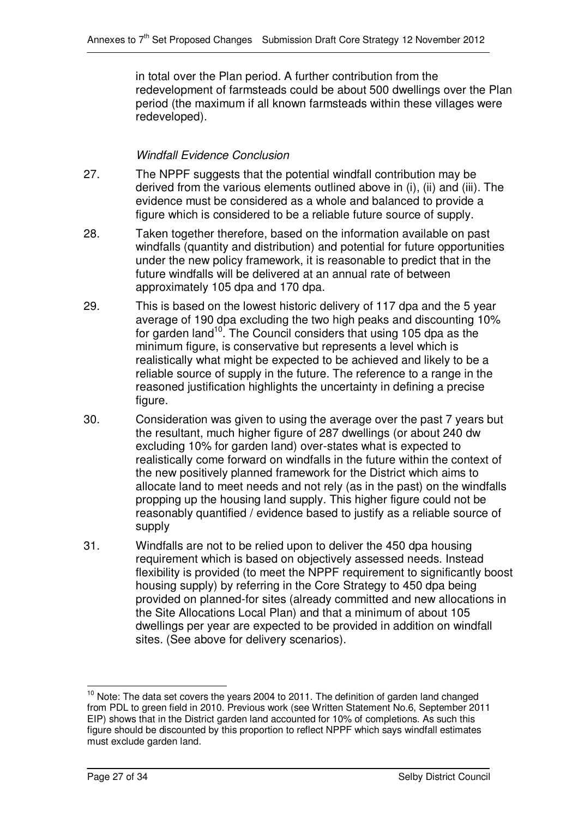in total over the Plan period. A further contribution from the redevelopment of farmsteads could be about 500 dwellings over the Plan period (the maximum if all known farmsteads within these villages were redeveloped).

### *Windfall Evidence Conclusion*

- 27. The NPPF suggests that the potential windfall contribution may be derived from the various elements outlined above in (i), (ii) and (iii). The evidence must be considered as a whole and balanced to provide a figure which is considered to be a reliable future source of supply.
- 28. Taken together therefore, based on the information available on past windfalls (quantity and distribution) and potential for future opportunities under the new policy framework, it is reasonable to predict that in the future windfalls will be delivered at an annual rate of between approximately 105 dpa and 170 dpa.
- 29. This is based on the lowest historic delivery of 117 dpa and the 5 year average of 190 dpa excluding the two high peaks and discounting 10% for garden land<sup>10</sup>. The Council considers that using 105 dpa as the minimum figure, is conservative but represents a level which is realistically what might be expected to be achieved and likely to be a reliable source of supply in the future. The reference to a range in the reasoned justification highlights the uncertainty in defining a precise figure.
- 30. Consideration was given to using the average over the past 7 years but the resultant, much higher figure of 287 dwellings (or about 240 dw excluding 10% for garden land) over-states what is expected to realistically come forward on windfalls in the future within the context of the new positively planned framework for the District which aims to allocate land to meet needs and not rely (as in the past) on the windfalls propping up the housing land supply. This higher figure could not be reasonably quantified / evidence based to justify as a reliable source of supply
- 31. Windfalls are not to be relied upon to deliver the 450 dpa housing requirement which is based on objectively assessed needs. Instead flexibility is provided (to meet the NPPF requirement to significantly boost housing supply) by referring in the Core Strategy to 450 dpa being provided on planned-for sites (already committed and new allocations in the Site Allocations Local Plan) and that a minimum of about 105 dwellings per year are expected to be provided in addition on windfall sites. (See above for delivery scenarios).

<sup>&</sup>lt;sup>10</sup> Note: The data set covers the years 2004 to 2011. The definition of garden land changed from PDL to green field in 2010. Previous work (see Written Statement No.6, September 2011 EIP) shows that in the District garden land accounted for 10% of completions. As such this figure should be discounted by this proportion to reflect NPPF which says windfall estimates must exclude garden land.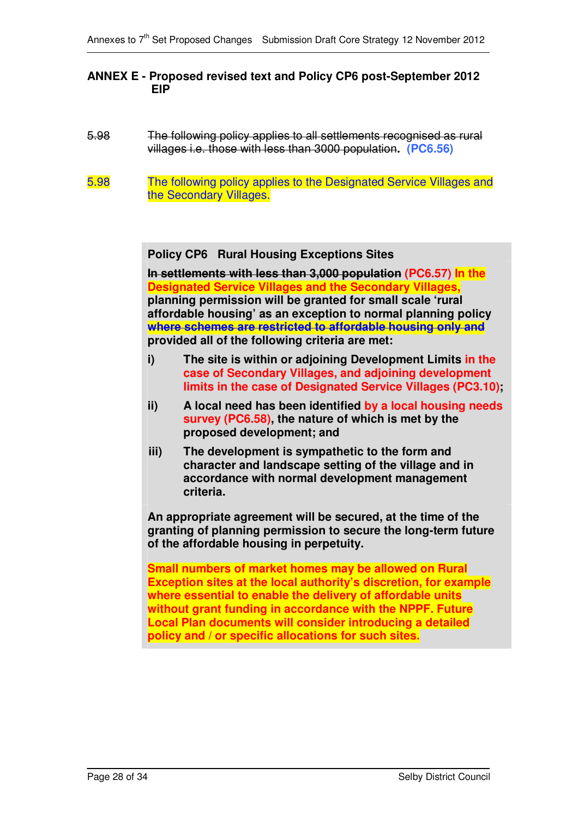### **ANNEX E - Proposed revised text and Policy CP6 post-September 2012 EIP**

- 5.98 The following policy applies to all settlements recognised as rural villages i.e. those with less than 3000 population**. (PC6.56)**
- 5.98 The following policy applies to the Designated Service Villages and the Secondary Villages.

**Policy CP6 Rural Housing Exceptions Sites**

**In settlements with less than 3,000 population (PC6.57) In the Designated Service Villages and the Secondary Villages, planning permission will be granted for small scale 'rural affordable housing' as an exception to normal planning policy where schemes are restricted to affordable housing only and provided all of the following criteria are met:**

- **i) The site is within or adjoining Development Limits in the case of Secondary Villages, and adjoining development limits in the case of Designated Service Villages (PC3.10);**
- **ii) A local need has been identified by a local housing needs survey (PC6.58), the nature of which is met by the proposed development; and**
- **iii) The development is sympathetic to the form and character and landscape setting of the village and in accordance with normal development management criteria.**

**An appropriate agreement will be secured, at the time of the granting of planning permission to secure the long-term future of the affordable housing in perpetuity.**

**Small numbers of market homes may be allowed on Rural Exception sites at the local authority's discretion, for example where essential to enable the delivery of affordable units without grant funding in accordance with the NPPF. Future Local Plan documents will consider introducing a detailed policy and / or specific allocations for such sites.**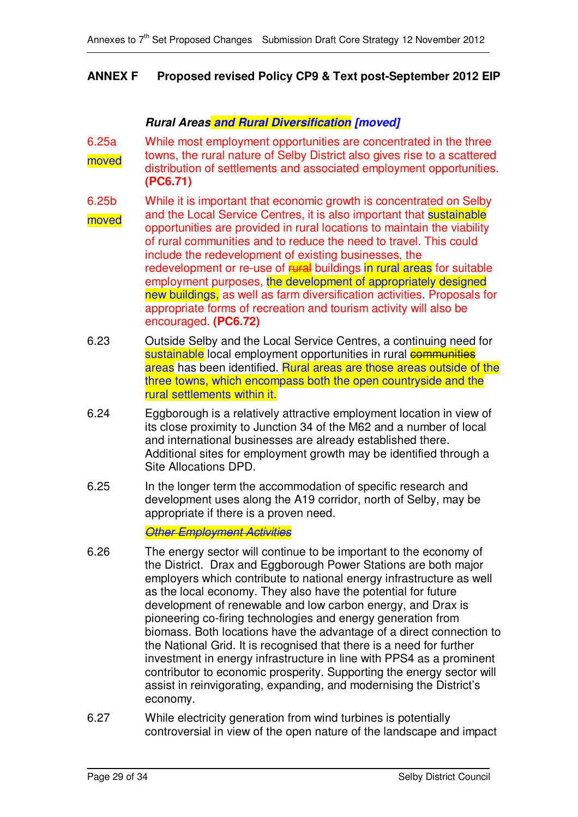### **ANNEX F Proposed revised Policy CP9 & Text post-September 2012 EIP**

### *Rural Areas and Rural Diversification [moved]*

6.25a moved While most employment opportunities are concentrated in the three towns, the rural nature of Selby District also gives rise to a scattered distribution of settlements and associated employment opportunities. **(PC6.71)**

6.25b moved While it is important that economic growth is concentrated on Selby and the Local Service Centres, it is also important that sustainable opportunities are provided in rural locations to maintain the viability of rural communities and to reduce the need to travel. This could include the redevelopment of existing businesses, the redevelopment or re-use of **rural** buildings in rural areas for suitable employment purposes, the development of appropriately designed new buildings, as well as farm diversification activities. Proposals for appropriate forms of recreation and tourism activity will also be encouraged. **(PC6.72)**

- 6.23 Outside Selby and the Local Service Centres, a continuing need for sustainable local employment opportunities in rural communities areas has been identified. Rural areas are those areas outside of the three towns, which encompass both the open countryside and the rural settlements within it.
- 6.24 Eggborough is a relatively attractive employment location in view of its close proximity to Junction 34 of the M62 and a number of local and international businesses are already established there. Additional sites for employment growth may be identified through a Site Allocations DPD.
- 6.25 In the longer term the accommodation of specific research and development uses along the A19 corridor, north of Selby, may be appropriate if there is a proven need.

*Other Employment Activities*

- 6.26 The energy sector will continue to be important to the economy of the District. Drax and Eggborough Power Stations are both major employers which contribute to national energy infrastructure as well as the local economy. They also have the potential for future development of renewable and low carbon energy, and Drax is pioneering co-firing technologies and energy generation from biomass. Both locations have the advantage of a direct connection to the National Grid. It is recognised that there is a need for further investment in energy infrastructure in line with PPS4 as a prominent contributor to economic prosperity. Supporting the energy sector will assist in reinvigorating, expanding, and modernising the District's economy.
- 6.27 While electricity generation from wind turbines is potentially controversial in view of the open nature of the landscape and impact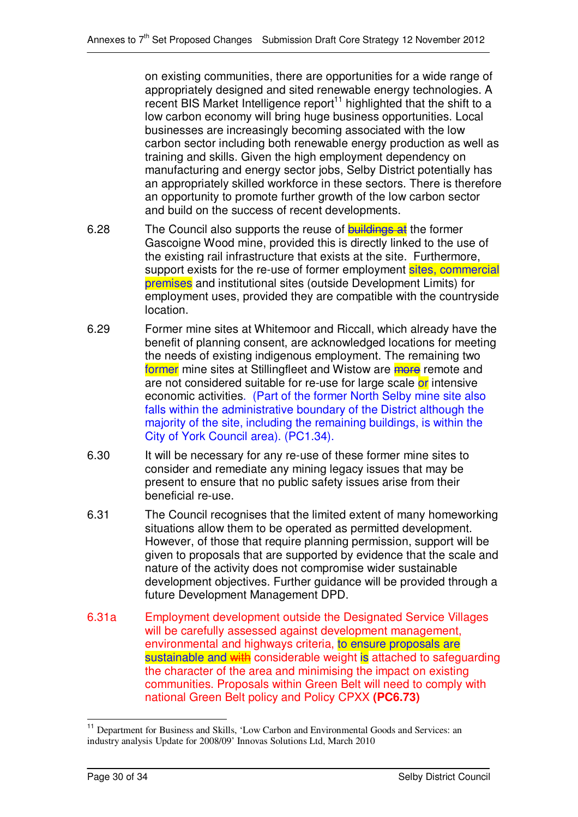on existing communities, there are opportunities for a wide range of appropriately designed and sited renewable energy technologies. A recent BIS Market Intelligence report<sup>11</sup> highlighted that the shift to a low carbon economy will bring huge business opportunities. Local businesses are increasingly becoming associated with the low carbon sector including both renewable energy production as well as training and skills. Given the high employment dependency on manufacturing and energy sector jobs, Selby District potentially has an appropriately skilled workforce in these sectors. There is therefore an opportunity to promote further growth of the low carbon sector and build on the success of recent developments.

- 6.28 The Council also supports the reuse of **buildings at** the former Gascoigne Wood mine, provided this is directly linked to the use of the existing rail infrastructure that exists at the site. Furthermore, support exists for the re-use of former employment sites, commercial premises and institutional sites (outside Development Limits) for employment uses, provided they are compatible with the countryside location.
- 6.29 Former mine sites at Whitemoor and Riccall, which already have the benefit of planning consent, are acknowledged locations for meeting the needs of existing indigenous employment. The remaining two former mine sites at Stillingfleet and Wistow are more remote and are not considered suitable for re-use for large scale or intensive economic activities. (Part of the former North Selby mine site also falls within the administrative boundary of the District although the majority of the site, including the remaining buildings, is within the City of York Council area). (PC1.34).
- 6.30 It will be necessary for any re-use of these former mine sites to consider and remediate any mining legacy issues that may be present to ensure that no public safety issues arise from their beneficial re-use.
- 6.31 The Council recognises that the limited extent of many homeworking situations allow them to be operated as permitted development. However, of those that require planning permission, support will be given to proposals that are supported by evidence that the scale and nature of the activity does not compromise wider sustainable development objectives. Further guidance will be provided through a future Development Management DPD.
- 6.31a Employment development outside the Designated Service Villages will be carefully assessed against development management, environmental and highways criteria, to ensure proposals are sustainable and with considerable weight is attached to safeguarding the character of the area and minimising the impact on existing communities. Proposals within Green Belt will need to comply with national Green Belt policy and Policy CPXX **(PC6.73)**

<sup>&</sup>lt;sup>11</sup> Department for Business and Skills, 'Low Carbon and Environmental Goods and Services: an industry analysis Update for 2008/09' Innovas Solutions Ltd, March 2010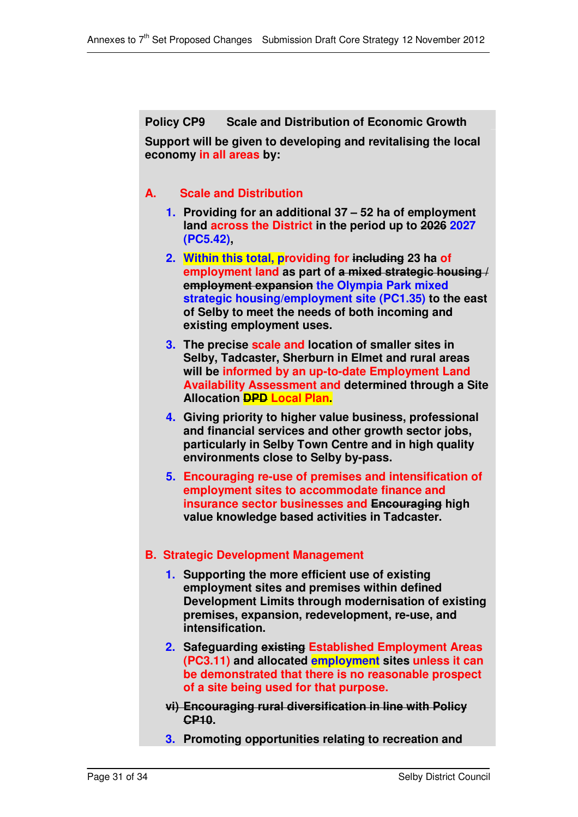**Policy CP9 Scale and Distribution of Economic Growth**

**Support will be given to developing and revitalising the local economy in all areas by:**

## **A. Scale and Distribution**

- **1. Providing for an additional 37 – 52 ha of employment land across the District in the period up to 2026 2027 (PC5.42),**
- **2. Within this total, providing for including 23 ha of employment land as part of a mixed strategic housing / employment expansion the Olympia Park mixed strategic housing/employment site (PC1.35) to the east of Selby to meet the needs of both incoming and existing employment uses.**
- **3. The precise scale and location of smaller sites in Selby, Tadcaster, Sherburn in Elmet and rural areas will be informed by an up-to-date Employment Land Availability Assessment and determined through a Site Allocation DPD Local Plan.**
- **4. Giving priority to higher value business, professional and financial services and other growth sector jobs, particularly in Selby Town Centre and in high quality environments close to Selby by-pass.**
- **5. Encouraging re-use of premises and intensification of employment sites to accommodate finance and insurance sector businesses and Encouraging high value knowledge based activities in Tadcaster.**

## **B. Strategic Development Management**

- **1. Supporting the more efficient use of existing employment sites and premises within defined Development Limits through modernisation of existing premises, expansion, redevelopment, re-use, and intensification.**
- **2. Safeguarding existing Established Employment Areas (PC3.11) and allocated employment sites unless it can be demonstrated that there is no reasonable prospect of a site being used for that purpose.**
- **vi) Encouraging rural diversification in line with Policy CP10.**
- **3. Promoting opportunities relating to recreation and**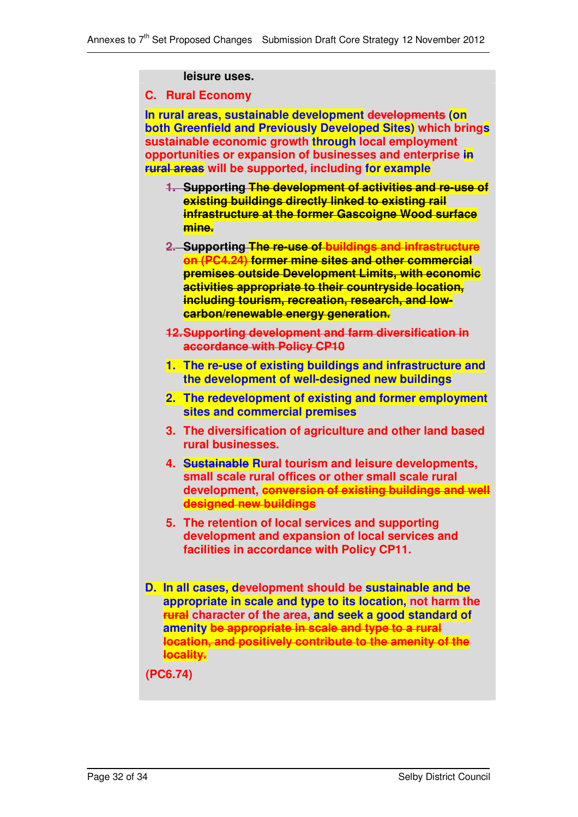#### **leisure uses.**

#### **C. Rural Economy**

**In rural areas, sustainable development developments (on both Greenfield and Previously Developed Sites) which brings sustainable economic growth through local employment opportunities or expansion of businesses and enterprise in rural areas will be supported, including for example**

- **1. Supporting The development of activities and re-use of existing buildings directly linked to existing rail infrastructure at the former Gascoigne Wood surface mine.**
- **2. Supporting The re-use of buildings and infrastructure on (PC4.24) former mine sites and other commercial premises outside Development Limits, with economic activities appropriate to their countryside location, including tourism, recreation, research, and lowcarbon/renewable energy generation.**
- **12.Supporting development and farm diversification in accordance with Policy CP10**
- **1. The re-use of existing buildings and infrastructure and the development of well-designed new buildings**
- **2. The redevelopment of existing and former employment sites and commercial premises**
- **3. The diversification of agriculture and other land based rural businesses.**
- **4. Sustainable Rural tourism and leisure developments, small scale rural offices or other small scale rural development, conversion of existing buildings and well designed new buildings**
- **5. The retention of local services and supporting development and expansion of local services and facilities in accordance with Policy CP11.**
- **D. In all cases, development should be sustainable and be appropriate in scale and type to its location, not harm the rural character of the area, and seek a good standard of amenity be appropriate in scale and type to a rural location, and positively contribute to the amenity of the locality.**

**(PC6.74)**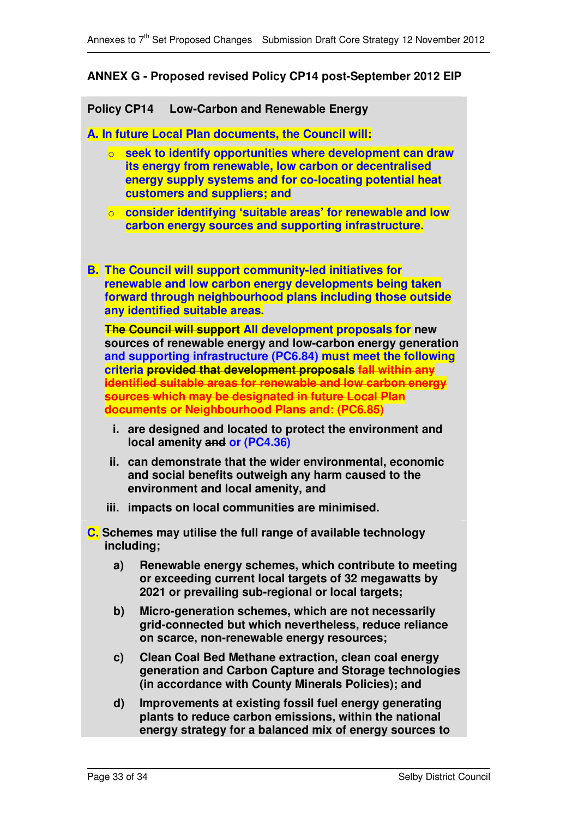### **ANNEX G - Proposed revised Policy CP14 post-September 2012 EIP**

**Policy CP14 Low-Carbon and Renewable Energy**

**A. In future Local Plan documents, the Council will:**

- o **seek to identify opportunities where development can draw its energy from renewable, low carbon or decentralised energy supply systems and for co-locating potential heat customers and suppliers; and**
- o **consider identifying 'suitable areas' for renewable and low carbon energy sources and supporting infrastructure.**
- **B. The Council will support community-led initiatives for renewable and low carbon energy developments being taken forward through neighbourhood plans including those outside any identified suitable areas.**

**The Council will support All development proposals for new sources of renewable energy and low-carbon energy generation and supporting infrastructure (PC6.84) must meet the following criteria provided that development proposals fall within any identified suitable areas for renewable and low carbon energy sources which may be designated in future Local Plan documents or Neighbourhood Plans and: (PC6.85)**

- **i. are designed and located to protect the environment and local amenity and or (PC4.36)**
- **ii. can demonstrate that the wider environmental, economic and social benefits outweigh any harm caused to the environment and local amenity, and**
- **iii. impacts on local communities are minimised.**

**C. Schemes may utilise the full range of available technology including;**

- **a) Renewable energy schemes, which contribute to meeting or exceeding current local targets of 32 megawatts by 2021 or prevailing sub-regional or local targets;**
- **b) Micro-generation schemes, which are not necessarily grid-connected but which nevertheless, reduce reliance on scarce, non-renewable energy resources;**
- **c) Clean Coal Bed Methane extraction, clean coal energy generation and Carbon Capture and Storage technologies (in accordance with County Minerals Policies); and**
- **d) Improvements at existing fossil fuel energy generating plants to reduce carbon emissions, within the national energy strategy for a balanced mix of energy sources to**